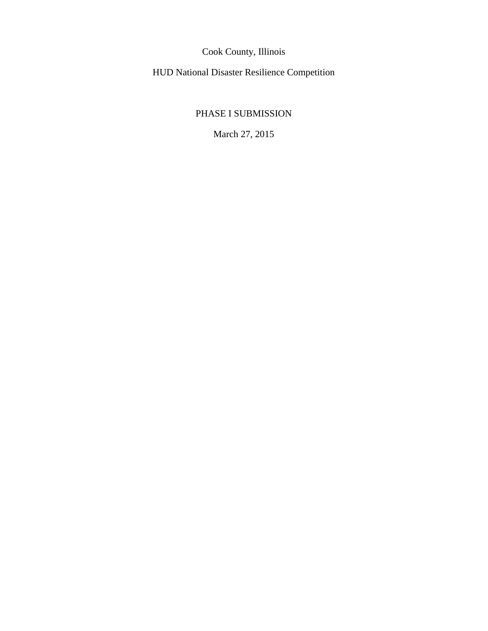Cook County, Illinois

HUD National Disaster Resilience Competition

# PHASE I SUBMISSION

March 27, 2015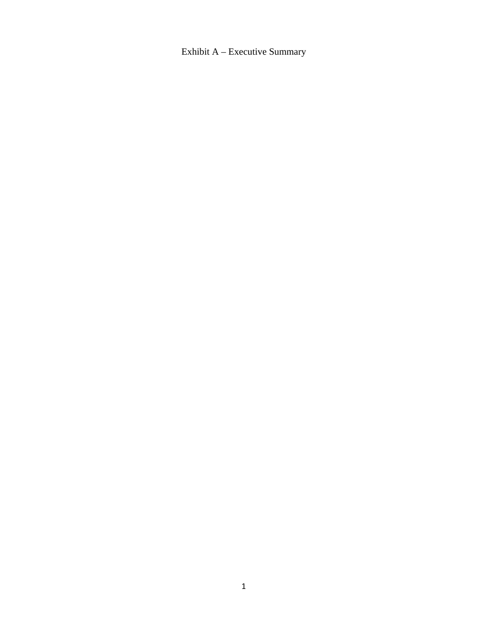Exhibit A – Executive Summary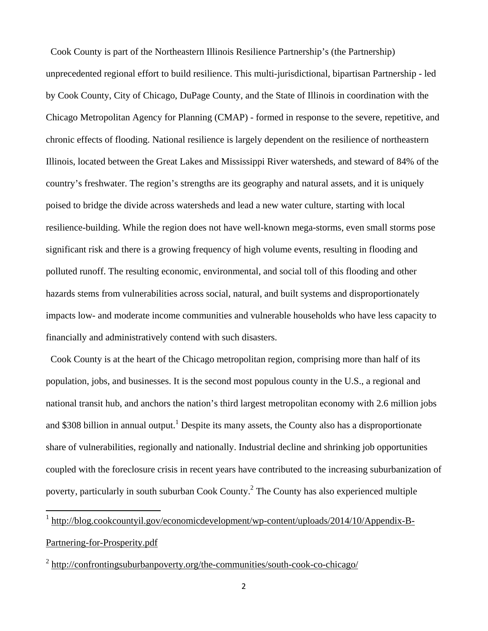Cook County is part of the Northeastern Illinois Resilience Partnership's (the Partnership) unprecedented regional effort to build resilience. This multi-jurisdictional, bipartisan Partnership - led by Cook County, City of Chicago, DuPage County, and the State of Illinois in coordination with the Chicago Metropolitan Agency for Planning (CMAP) - formed in response to the severe, repetitive, and chronic effects of flooding. National resilience is largely dependent on the resilience of northeastern Illinois, located between the Great Lakes and Mississippi River watersheds, and steward of 84% of the country's freshwater. The region's strengths are its geography and natural assets, and it is uniquely poised to bridge the divide across watersheds and lead a new water culture, starting with local resilience-building. While the region does not have well-known mega-storms, even small storms pose significant risk and there is a growing frequency of high volume events, resulting in flooding and polluted runoff. The resulting economic, environmental, and social toll of this flooding and other hazards stems from vulnerabilities across social, natural, and built systems and disproportionately impacts low- and moderate income communities and vulnerable households who have less capacity to financially and administratively contend with such disasters.

 Cook County is at the heart of the Chicago metropolitan region, comprising more than half of its population, jobs, and businesses. It is the second most populous county in the U.S., a regional and national transit hub, and anchors the nation's third largest metropolitan economy with 2.6 million jobs and \$308 billion in annual output.<sup>1</sup> Despite its many assets, the County also has a disproportionate share of vulnerabilities, regionally and nationally. Industrial decline and shrinking job opportunities coupled with the foreclosure crisis in recent years have contributed to the increasing suburbanization of poverty, particularly in south suburban Cook County.<sup>2</sup> The County has also experienced multiple

1 http://blog.cookcountyil.gov/economicdevelopment/wp-content/uploads/2014/10/Appendix-B-Partnering-for-Prosperity.pdf

<sup>&</sup>lt;sup>2</sup> http://confrontingsuburbanpoverty.org/the-communities/south-cook-co-chicago/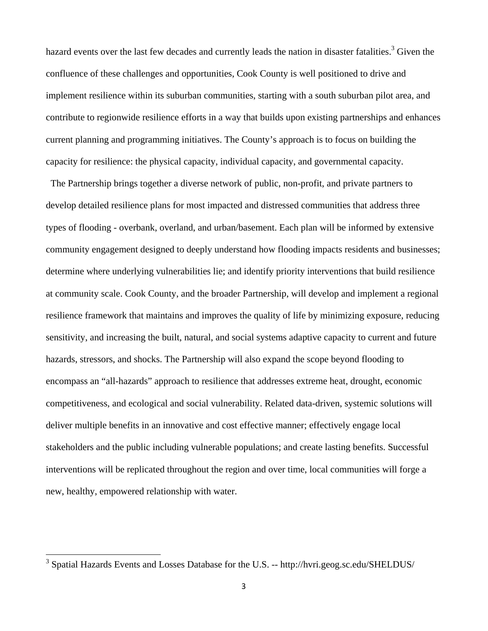hazard events over the last few decades and currently leads the nation in disaster fatalities.<sup>3</sup> Given the confluence of these challenges and opportunities, Cook County is well positioned to drive and implement resilience within its suburban communities, starting with a south suburban pilot area, and contribute to regionwide resilience efforts in a way that builds upon existing partnerships and enhances current planning and programming initiatives. The County's approach is to focus on building the capacity for resilience: the physical capacity, individual capacity, and governmental capacity.

 The Partnership brings together a diverse network of public, non-profit, and private partners to develop detailed resilience plans for most impacted and distressed communities that address three types of flooding - overbank, overland, and urban/basement. Each plan will be informed by extensive community engagement designed to deeply understand how flooding impacts residents and businesses; determine where underlying vulnerabilities lie; and identify priority interventions that build resilience at community scale. Cook County, and the broader Partnership, will develop and implement a regional resilience framework that maintains and improves the quality of life by minimizing exposure, reducing sensitivity, and increasing the built, natural, and social systems adaptive capacity to current and future hazards, stressors, and shocks. The Partnership will also expand the scope beyond flooding to encompass an "all-hazards" approach to resilience that addresses extreme heat, drought, economic competitiveness, and ecological and social vulnerability. Related data-driven, systemic solutions will deliver multiple benefits in an innovative and cost effective manner; effectively engage local stakeholders and the public including vulnerable populations; and create lasting benefits. Successful interventions will be replicated throughout the region and over time, local communities will forge a new, healthy, empowered relationship with water.

<sup>&</sup>lt;sup>3</sup> Spatial Hazards Events and Losses Database for the U.S. -- http://hvri.geog.sc.edu/SHELDUS/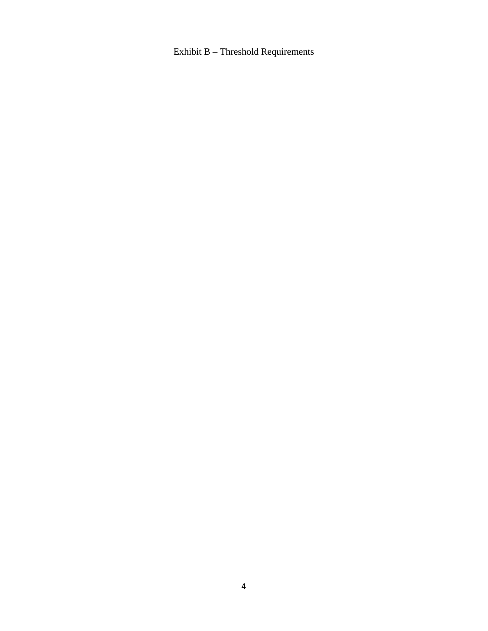# Exhibit B – Threshold Requirements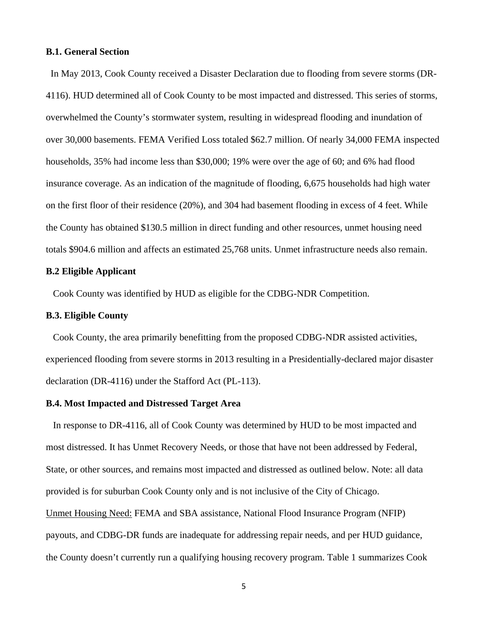## **B.1. General Section**

 In May 2013, Cook County received a Disaster Declaration due to flooding from severe storms (DR-4116). HUD determined all of Cook County to be most impacted and distressed. This series of storms, overwhelmed the County's stormwater system, resulting in widespread flooding and inundation of over 30,000 basements. FEMA Verified Loss totaled \$62.7 million. Of nearly 34,000 FEMA inspected households, 35% had income less than \$30,000; 19% were over the age of 60; and 6% had flood insurance coverage. As an indication of the magnitude of flooding, 6,675 households had high water on the first floor of their residence (20%), and 304 had basement flooding in excess of 4 feet. While the County has obtained \$130.5 million in direct funding and other resources, unmet housing need totals \$904.6 million and affects an estimated 25,768 units. Unmet infrastructure needs also remain.

### **B.2 Eligible Applicant**

Cook County was identified by HUD as eligible for the CDBG-NDR Competition.

## **B.3. Eligible County**

 Cook County, the area primarily benefitting from the proposed CDBG-NDR assisted activities, experienced flooding from severe storms in 2013 resulting in a Presidentially-declared major disaster declaration (DR-4116) under the Stafford Act (PL-113).

## **B.4. Most Impacted and Distressed Target Area**

 In response to DR-4116, all of Cook County was determined by HUD to be most impacted and most distressed. It has Unmet Recovery Needs, or those that have not been addressed by Federal, State, or other sources, and remains most impacted and distressed as outlined below. Note: all data provided is for suburban Cook County only and is not inclusive of the City of Chicago. Unmet Housing Need: FEMA and SBA assistance, National Flood Insurance Program (NFIP) payouts, and CDBG-DR funds are inadequate for addressing repair needs, and per HUD guidance, the County doesn't currently run a qualifying housing recovery program. Table 1 summarizes Cook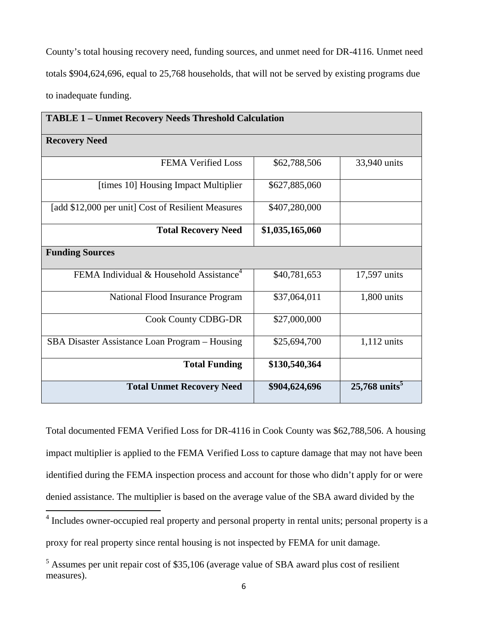County's total housing recovery need, funding sources, and unmet need for DR-4116. Unmet need totals \$904,624,696, equal to 25,768 households, that will not be served by existing programs due to inadequate funding.

| <b>TABLE 1 - Unmet Recovery Needs Threshold Calculation</b> |                 |                             |  |
|-------------------------------------------------------------|-----------------|-----------------------------|--|
| <b>Recovery Need</b>                                        |                 |                             |  |
| <b>FEMA Verified Loss</b>                                   | \$62,788,506    | 33,940 units                |  |
| [times 10] Housing Impact Multiplier                        | \$627,885,060   |                             |  |
| [add \$12,000 per unit] Cost of Resilient Measures          | \$407,280,000   |                             |  |
| <b>Total Recovery Need</b>                                  | \$1,035,165,060 |                             |  |
| <b>Funding Sources</b>                                      |                 |                             |  |
| FEMA Individual & Household Assistance <sup>4</sup>         | \$40,781,653    | 17,597 units                |  |
| National Flood Insurance Program                            | \$37,064,011    | 1,800 units                 |  |
| <b>Cook County CDBG-DR</b>                                  | \$27,000,000    |                             |  |
| SBA Disaster Assistance Loan Program - Housing              | \$25,694,700    | $1,112$ units               |  |
| <b>Total Funding</b>                                        | \$130,540,364   |                             |  |
| <b>Total Unmet Recovery Need</b>                            | \$904,624,696   | $25,768$ units <sup>5</sup> |  |

Total documented FEMA Verified Loss for DR-4116 in Cook County was \$62,788,506. A housing impact multiplier is applied to the FEMA Verified Loss to capture damage that may not have been identified during the FEMA inspection process and account for those who didn't apply for or were denied assistance. The multiplier is based on the average value of the SBA award divided by the

 4 Includes owner-occupied real property and personal property in rental units; personal property is a proxy for real property since rental housing is not inspected by FEMA for unit damage.

 $<sup>5</sup>$  Assumes per unit repair cost of \$35,106 (average value of SBA award plus cost of resilient</sup> measures).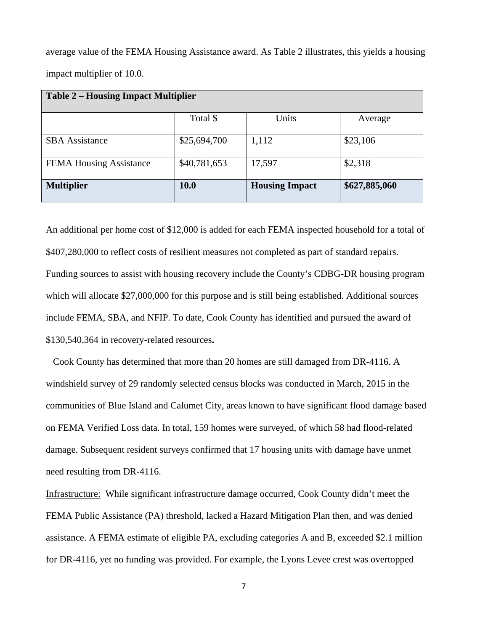average value of the FEMA Housing Assistance award. As Table 2 illustrates, this yields a housing impact multiplier of 10.0.

| <b>Table 2 – Housing Impact Multiplier</b> |              |                       |               |  |
|--------------------------------------------|--------------|-----------------------|---------------|--|
|                                            | Total \$     | Units                 | Average       |  |
| <b>SBA</b> Assistance                      | \$25,694,700 | 1,112                 | \$23,106      |  |
| <b>FEMA Housing Assistance</b>             | \$40,781,653 | 17,597                | \$2,318       |  |
| <b>Multiplier</b>                          | <b>10.0</b>  | <b>Housing Impact</b> | \$627,885,060 |  |

An additional per home cost of \$12,000 is added for each FEMA inspected household for a total of \$407,280,000 to reflect costs of resilient measures not completed as part of standard repairs. Funding sources to assist with housing recovery include the County's CDBG-DR housing program which will allocate \$27,000,000 for this purpose and is still being established. Additional sources include FEMA, SBA, and NFIP. To date, Cook County has identified and pursued the award of \$130,540,364 in recovery-related resources**.** 

 Cook County has determined that more than 20 homes are still damaged from DR-4116. A windshield survey of 29 randomly selected census blocks was conducted in March, 2015 in the communities of Blue Island and Calumet City, areas known to have significant flood damage based on FEMA Verified Loss data. In total, 159 homes were surveyed, of which 58 had flood-related damage. Subsequent resident surveys confirmed that 17 housing units with damage have unmet need resulting from DR-4116.

Infrastructure: While significant infrastructure damage occurred, Cook County didn't meet the FEMA Public Assistance (PA) threshold, lacked a Hazard Mitigation Plan then, and was denied assistance. A FEMA estimate of eligible PA, excluding categories A and B, exceeded \$2.1 million for DR-4116, yet no funding was provided. For example, the Lyons Levee crest was overtopped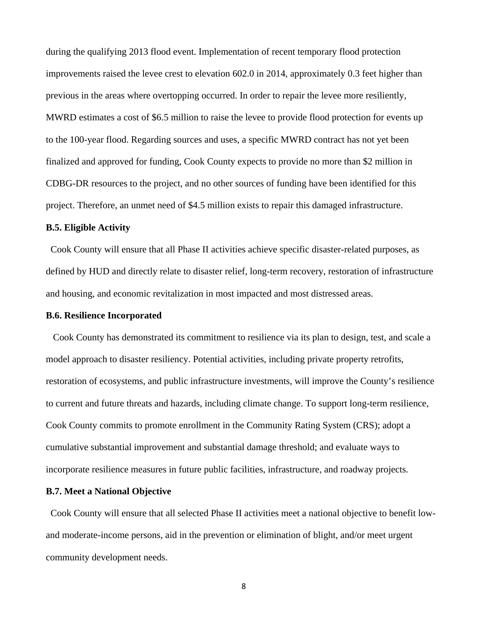during the qualifying 2013 flood event. Implementation of recent temporary flood protection improvements raised the levee crest to elevation 602.0 in 2014, approximately 0.3 feet higher than previous in the areas where overtopping occurred. In order to repair the levee more resiliently, MWRD estimates a cost of \$6.5 million to raise the levee to provide flood protection for events up to the 100-year flood. Regarding sources and uses, a specific MWRD contract has not yet been finalized and approved for funding, Cook County expects to provide no more than \$2 million in CDBG-DR resources to the project, and no other sources of funding have been identified for this project. Therefore, an unmet need of \$4.5 million exists to repair this damaged infrastructure.

## **B.5. Eligible Activity**

 Cook County will ensure that all Phase II activities achieve specific disaster-related purposes, as defined by HUD and directly relate to disaster relief, long-term recovery, restoration of infrastructure and housing, and economic revitalization in most impacted and most distressed areas.

#### **B.6. Resilience Incorporated**

 Cook County has demonstrated its commitment to resilience via its plan to design, test, and scale a model approach to disaster resiliency. Potential activities, including private property retrofits, restoration of ecosystems, and public infrastructure investments, will improve the County's resilience to current and future threats and hazards, including climate change. To support long-term resilience, Cook County commits to promote enrollment in the Community Rating System (CRS); adopt a cumulative substantial improvement and substantial damage threshold; and evaluate ways to incorporate resilience measures in future public facilities, infrastructure, and roadway projects.

## **B.7. Meet a National Objective**

 Cook County will ensure that all selected Phase II activities meet a national objective to benefit lowand moderate-income persons, aid in the prevention or elimination of blight, and/or meet urgent community development needs.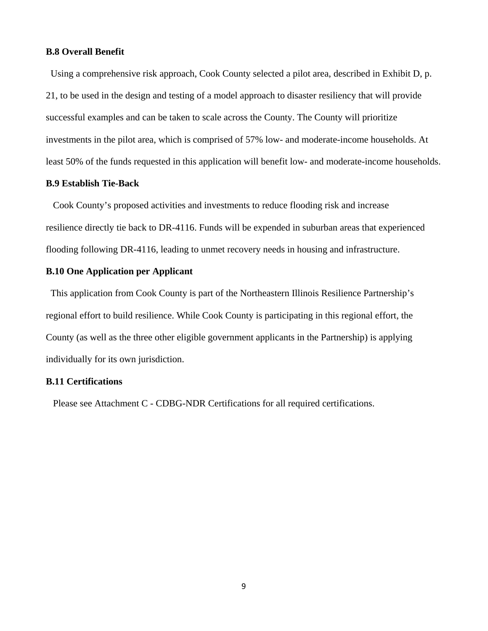## **B.8 Overall Benefit**

 Using a comprehensive risk approach, Cook County selected a pilot area, described in Exhibit D, p. 21, to be used in the design and testing of a model approach to disaster resiliency that will provide successful examples and can be taken to scale across the County. The County will prioritize investments in the pilot area, which is comprised of 57% low- and moderate-income households. At least 50% of the funds requested in this application will benefit low- and moderate-income households.

## **B.9 Establish Tie-Back**

 Cook County's proposed activities and investments to reduce flooding risk and increase resilience directly tie back to DR-4116. Funds will be expended in suburban areas that experienced flooding following DR-4116, leading to unmet recovery needs in housing and infrastructure.

# **B.10 One Application per Applicant**

 This application from Cook County is part of the Northeastern Illinois Resilience Partnership's regional effort to build resilience. While Cook County is participating in this regional effort, the County (as well as the three other eligible government applicants in the Partnership) is applying individually for its own jurisdiction.

# **B.11 Certifications**

Please see Attachment C - CDBG-NDR Certifications for all required certifications.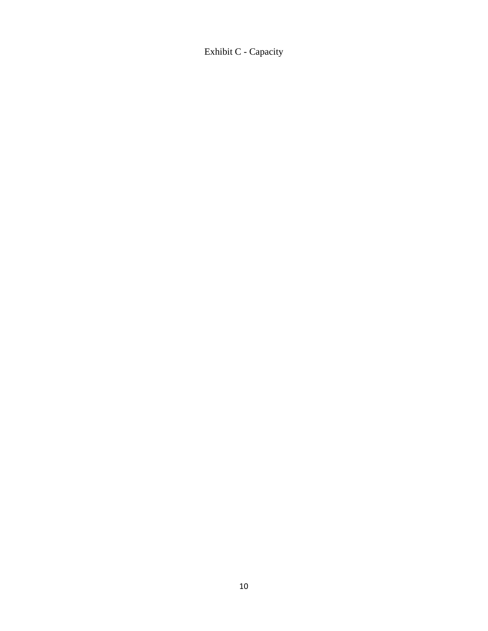Exhibit C - Capacity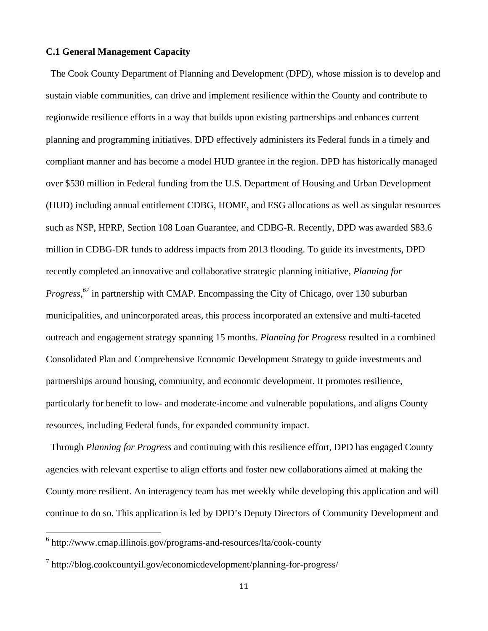## **C.1 General Management Capacity**

 The Cook County Department of Planning and Development (DPD), whose mission is to develop and sustain viable communities, can drive and implement resilience within the County and contribute to regionwide resilience efforts in a way that builds upon existing partnerships and enhances current planning and programming initiatives. DPD effectively administers its Federal funds in a timely and compliant manner and has become a model HUD grantee in the region. DPD has historically managed over \$530 million in Federal funding from the U.S. Department of Housing and Urban Development (HUD) including annual entitlement CDBG, HOME, and ESG allocations as well as singular resources such as NSP, HPRP, Section 108 Loan Guarantee, and CDBG-R. Recently, DPD was awarded \$83.6 million in CDBG-DR funds to address impacts from 2013 flooding. To guide its investments, DPD recently completed an innovative and collaborative strategic planning initiative, *Planning for Progress,*<sup>67</sup> in partnership with CMAP. Encompassing the City of Chicago, over 130 suburban municipalities, and unincorporated areas, this process incorporated an extensive and multi-faceted outreach and engagement strategy spanning 15 months. *Planning for Progress* resulted in a combined Consolidated Plan and Comprehensive Economic Development Strategy to guide investments and partnerships around housing, community, and economic development. It promotes resilience, particularly for benefit to low- and moderate-income and vulnerable populations, and aligns County resources, including Federal funds, for expanded community impact.

 Through *Planning for Progress* and continuing with this resilience effort, DPD has engaged County agencies with relevant expertise to align efforts and foster new collaborations aimed at making the County more resilient. An interagency team has met weekly while developing this application and will continue to do so. This application is led by DPD's Deputy Directors of Community Development and

 6 http://www.cmap.illinois.gov/programs-and-resources/lta/cook-county

<sup>&</sup>lt;sup>7</sup> http://blog.cookcountyil.gov/economicdevelopment/planning-for-progress/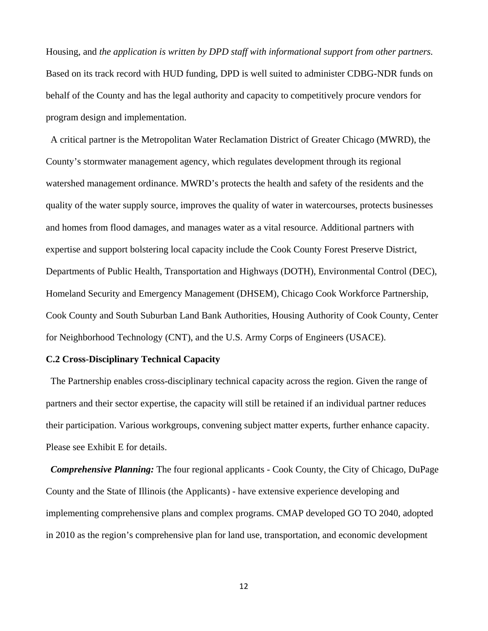Housing, and *the application is written by DPD staff with informational support from other partners.*  Based on its track record with HUD funding, DPD is well suited to administer CDBG-NDR funds on behalf of the County and has the legal authority and capacity to competitively procure vendors for program design and implementation.

 A critical partner is the Metropolitan Water Reclamation District of Greater Chicago (MWRD), the County's stormwater management agency, which regulates development through its regional watershed management ordinance. MWRD's protects the health and safety of the residents and the quality of the water supply source, improves the quality of water in watercourses, protects businesses and homes from flood damages, and manages water as a vital resource. Additional partners with expertise and support bolstering local capacity include the Cook County Forest Preserve District, Departments of Public Health, Transportation and Highways (DOTH), Environmental Control (DEC), Homeland Security and Emergency Management (DHSEM), Chicago Cook Workforce Partnership, Cook County and South Suburban Land Bank Authorities, Housing Authority of Cook County, Center for Neighborhood Technology (CNT), and the U.S. Army Corps of Engineers (USACE).

# **C.2 Cross-Disciplinary Technical Capacity**

 The Partnership enables cross-disciplinary technical capacity across the region. Given the range of partners and their sector expertise, the capacity will still be retained if an individual partner reduces their participation. Various workgroups, convening subject matter experts, further enhance capacity. Please see Exhibit E for details.

 *Comprehensive Planning:* The four regional applicants - Cook County, the City of Chicago, DuPage County and the State of Illinois (the Applicants) - have extensive experience developing and implementing comprehensive plans and complex programs. CMAP developed GO TO 2040, adopted in 2010 as the region's comprehensive plan for land use, transportation, and economic development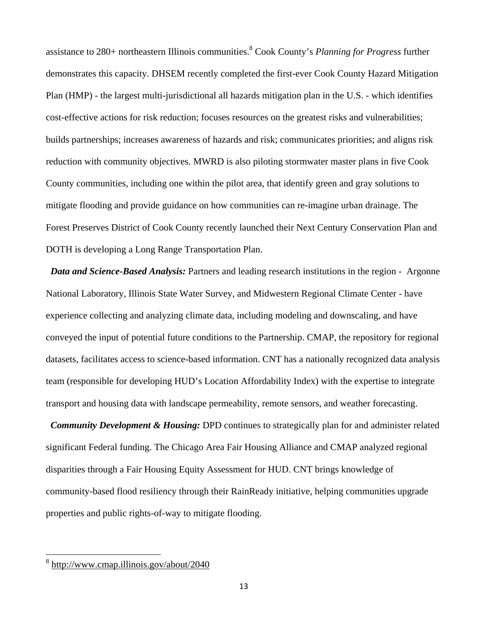assistance to 280+ northeastern Illinois communities.8 Cook County's *Planning for Progress* further demonstrates this capacity. DHSEM recently completed the first-ever Cook County Hazard Mitigation Plan (HMP) - the largest multi-jurisdictional all hazards mitigation plan in the U.S. - which identifies cost-effective actions for risk reduction; focuses resources on the greatest risks and vulnerabilities; builds partnerships; increases awareness of hazards and risk; communicates priorities; and aligns risk reduction with community objectives. MWRD is also piloting stormwater master plans in five Cook County communities, including one within the pilot area, that identify green and gray solutions to mitigate flooding and provide guidance on how communities can re-imagine urban drainage. The Forest Preserves District of Cook County recently launched their Next Century Conservation Plan and DOTH is developing a Long Range Transportation Plan.

 *Data and Science-Based Analysis:* Partners and leading research institutions in the region - Argonne National Laboratory, Illinois State Water Survey, and Midwestern Regional Climate Center - have experience collecting and analyzing climate data, including modeling and downscaling, and have conveyed the input of potential future conditions to the Partnership. CMAP, the repository for regional datasets, facilitates access to science-based information. CNT has a nationally recognized data analysis team (responsible for developing HUD's Location Affordability Index) with the expertise to integrate transport and housing data with landscape permeability, remote sensors, and weather forecasting.

 *Community Development & Housing:* DPD continues to strategically plan for and administer related significant Federal funding. The Chicago Area Fair Housing Alliance and CMAP analyzed regional disparities through a Fair Housing Equity Assessment for HUD. CNT brings knowledge of community-based flood resiliency through their RainReady initiative, helping communities upgrade properties and public rights-of-way to mitigate flooding.

<sup>&</sup>lt;sup>8</sup> http://www.cmap.illinois.gov/about/2040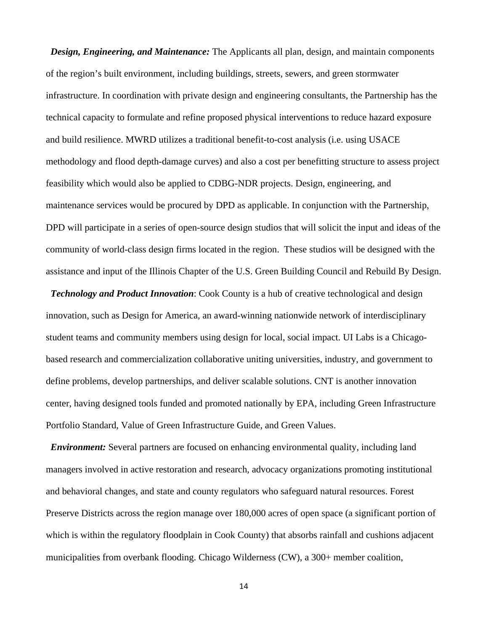*Design, Engineering, and Maintenance:* The Applicants all plan, design, and maintain components of the region's built environment, including buildings, streets, sewers, and green stormwater infrastructure. In coordination with private design and engineering consultants, the Partnership has the technical capacity to formulate and refine proposed physical interventions to reduce hazard exposure and build resilience. MWRD utilizes a traditional benefit-to-cost analysis (i.e. using USACE methodology and flood depth-damage curves) and also a cost per benefitting structure to assess project feasibility which would also be applied to CDBG-NDR projects. Design, engineering, and maintenance services would be procured by DPD as applicable. In conjunction with the Partnership, DPD will participate in a series of open-source design studios that will solicit the input and ideas of the community of world-class design firms located in the region. These studios will be designed with the assistance and input of the Illinois Chapter of the U.S. Green Building Council and Rebuild By Design.

 *Technology and Product Innovation*: Cook County is a hub of creative technological and design innovation, such as Design for America, an award-winning nationwide network of interdisciplinary student teams and community members using design for local, social impact. UI Labs is a Chicagobased research and commercialization collaborative uniting universities, industry, and government to define problems, develop partnerships, and deliver scalable solutions. CNT is another innovation center, having designed tools funded and promoted nationally by EPA, including Green Infrastructure Portfolio Standard, Value of Green Infrastructure Guide, and Green Values.

 *Environment:* Several partners are focused on enhancing environmental quality, including land managers involved in active restoration and research, advocacy organizations promoting institutional and behavioral changes, and state and county regulators who safeguard natural resources. Forest Preserve Districts across the region manage over 180,000 acres of open space (a significant portion of which is within the regulatory floodplain in Cook County) that absorbs rainfall and cushions adjacent municipalities from overbank flooding. Chicago Wilderness (CW), a 300+ member coalition,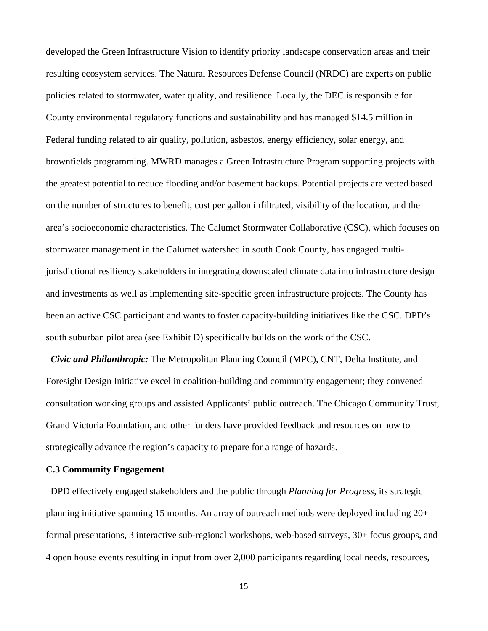developed the Green Infrastructure Vision to identify priority landscape conservation areas and their resulting ecosystem services. The Natural Resources Defense Council (NRDC) are experts on public policies related to stormwater, water quality, and resilience. Locally, the DEC is responsible for County environmental regulatory functions and sustainability and has managed \$14.5 million in Federal funding related to air quality, pollution, asbestos, energy efficiency, solar energy, and brownfields programming. MWRD manages a Green Infrastructure Program supporting projects with the greatest potential to reduce flooding and/or basement backups. Potential projects are vetted based on the number of structures to benefit, cost per gallon infiltrated, visibility of the location, and the area's socioeconomic characteristics. The Calumet Stormwater Collaborative (CSC), which focuses on stormwater management in the Calumet watershed in south Cook County, has engaged multijurisdictional resiliency stakeholders in integrating downscaled climate data into infrastructure design and investments as well as implementing site-specific green infrastructure projects. The County has been an active CSC participant and wants to foster capacity-building initiatives like the CSC. DPD's south suburban pilot area (see Exhibit D) specifically builds on the work of the CSC.

 *Civic and Philanthropic:* The Metropolitan Planning Council (MPC), CNT, Delta Institute, and Foresight Design Initiative excel in coalition-building and community engagement; they convened consultation working groups and assisted Applicants' public outreach. The Chicago Community Trust, Grand Victoria Foundation, and other funders have provided feedback and resources on how to strategically advance the region's capacity to prepare for a range of hazards.

## **C.3 Community Engagement**

 DPD effectively engaged stakeholders and the public through *Planning for Progress,* its strategic planning initiative spanning 15 months. An array of outreach methods were deployed including 20+ formal presentations, 3 interactive sub-regional workshops, web-based surveys, 30+ focus groups, and 4 open house events resulting in input from over 2,000 participants regarding local needs, resources,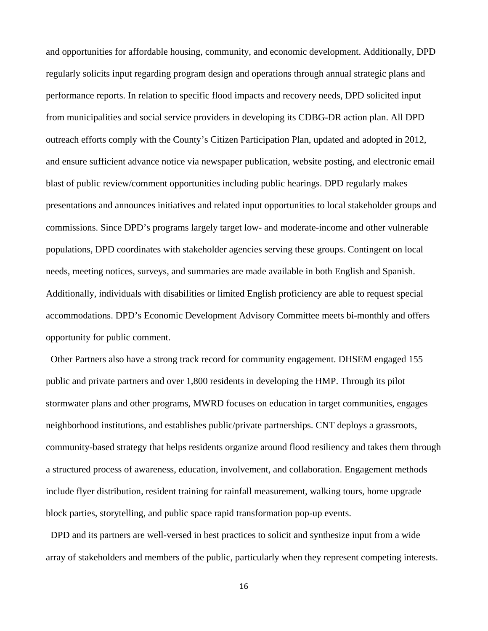and opportunities for affordable housing, community, and economic development. Additionally, DPD regularly solicits input regarding program design and operations through annual strategic plans and performance reports. In relation to specific flood impacts and recovery needs, DPD solicited input from municipalities and social service providers in developing its CDBG-DR action plan. All DPD outreach efforts comply with the County's Citizen Participation Plan, updated and adopted in 2012, and ensure sufficient advance notice via newspaper publication, website posting, and electronic email blast of public review/comment opportunities including public hearings. DPD regularly makes presentations and announces initiatives and related input opportunities to local stakeholder groups and commissions. Since DPD's programs largely target low- and moderate-income and other vulnerable populations, DPD coordinates with stakeholder agencies serving these groups. Contingent on local needs, meeting notices, surveys, and summaries are made available in both English and Spanish. Additionally, individuals with disabilities or limited English proficiency are able to request special accommodations. DPD's Economic Development Advisory Committee meets bi-monthly and offers opportunity for public comment.

 Other Partners also have a strong track record for community engagement. DHSEM engaged 155 public and private partners and over 1,800 residents in developing the HMP. Through its pilot stormwater plans and other programs, MWRD focuses on education in target communities, engages neighborhood institutions, and establishes public/private partnerships. CNT deploys a grassroots, community-based strategy that helps residents organize around flood resiliency and takes them through a structured process of awareness, education, involvement, and collaboration. Engagement methods include flyer distribution, resident training for rainfall measurement, walking tours, home upgrade block parties, storytelling, and public space rapid transformation pop-up events.

 DPD and its partners are well-versed in best practices to solicit and synthesize input from a wide array of stakeholders and members of the public, particularly when they represent competing interests.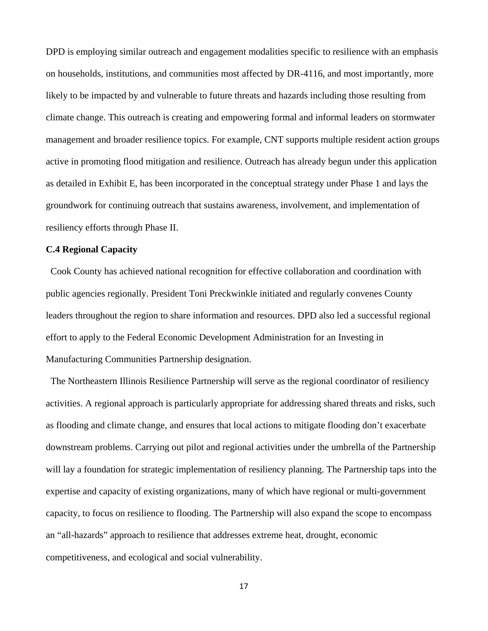DPD is employing similar outreach and engagement modalities specific to resilience with an emphasis on households, institutions, and communities most affected by DR-4116, and most importantly, more likely to be impacted by and vulnerable to future threats and hazards including those resulting from climate change. This outreach is creating and empowering formal and informal leaders on stormwater management and broader resilience topics. For example, CNT supports multiple resident action groups active in promoting flood mitigation and resilience. Outreach has already begun under this application as detailed in Exhibit E, has been incorporated in the conceptual strategy under Phase 1 and lays the groundwork for continuing outreach that sustains awareness, involvement, and implementation of resiliency efforts through Phase II.

# **C.4 Regional Capacity**

 Cook County has achieved national recognition for effective collaboration and coordination with public agencies regionally. President Toni Preckwinkle initiated and regularly convenes County leaders throughout the region to share information and resources. DPD also led a successful regional effort to apply to the Federal Economic Development Administration for an Investing in Manufacturing Communities Partnership designation.

 The Northeastern Illinois Resilience Partnership will serve as the regional coordinator of resiliency activities. A regional approach is particularly appropriate for addressing shared threats and risks, such as flooding and climate change, and ensures that local actions to mitigate flooding don't exacerbate downstream problems. Carrying out pilot and regional activities under the umbrella of the Partnership will lay a foundation for strategic implementation of resiliency planning. The Partnership taps into the expertise and capacity of existing organizations, many of which have regional or multi-government capacity, to focus on resilience to flooding. The Partnership will also expand the scope to encompass an "all-hazards" approach to resilience that addresses extreme heat, drought, economic competitiveness, and ecological and social vulnerability.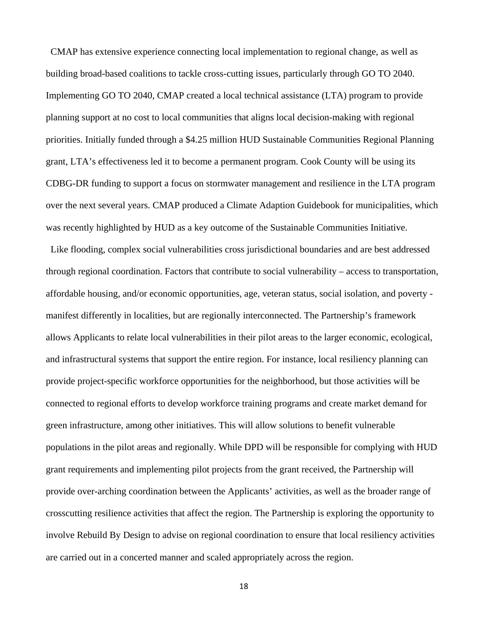CMAP has extensive experience connecting local implementation to regional change, as well as building broad-based coalitions to tackle cross-cutting issues, particularly through GO TO 2040. Implementing GO TO 2040, CMAP created a local technical assistance (LTA) program to provide planning support at no cost to local communities that aligns local decision-making with regional priorities. Initially funded through a \$4.25 million HUD Sustainable Communities Regional Planning grant, LTA's effectiveness led it to become a permanent program. Cook County will be using its CDBG-DR funding to support a focus on stormwater management and resilience in the LTA program over the next several years. CMAP produced a Climate Adaption Guidebook for municipalities, which was recently highlighted by HUD as a key outcome of the Sustainable Communities Initiative.

 Like flooding, complex social vulnerabilities cross jurisdictional boundaries and are best addressed through regional coordination. Factors that contribute to social vulnerability – access to transportation, affordable housing, and/or economic opportunities, age, veteran status, social isolation, and poverty manifest differently in localities, but are regionally interconnected. The Partnership's framework allows Applicants to relate local vulnerabilities in their pilot areas to the larger economic, ecological, and infrastructural systems that support the entire region. For instance, local resiliency planning can provide project-specific workforce opportunities for the neighborhood, but those activities will be connected to regional efforts to develop workforce training programs and create market demand for green infrastructure, among other initiatives. This will allow solutions to benefit vulnerable populations in the pilot areas and regionally. While DPD will be responsible for complying with HUD grant requirements and implementing pilot projects from the grant received, the Partnership will provide over-arching coordination between the Applicants' activities, as well as the broader range of crosscutting resilience activities that affect the region. The Partnership is exploring the opportunity to involve Rebuild By Design to advise on regional coordination to ensure that local resiliency activities are carried out in a concerted manner and scaled appropriately across the region.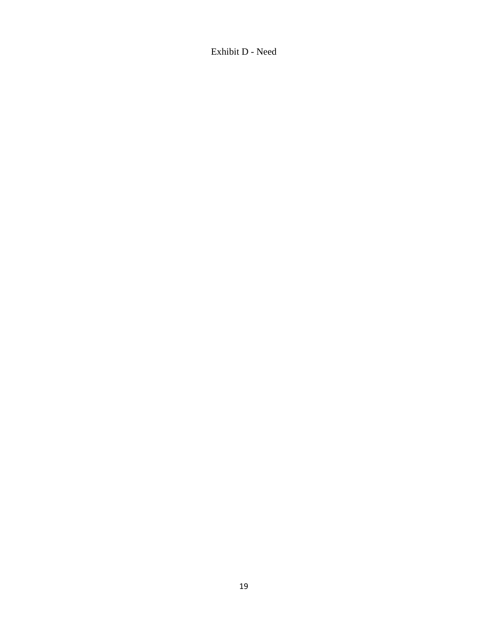Exhibit D - Need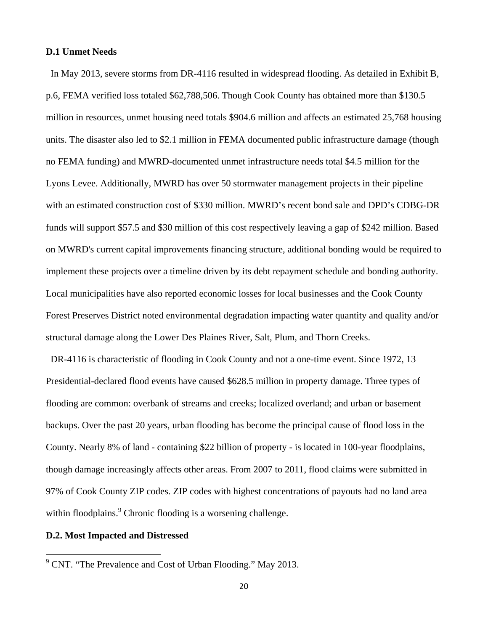## **D.1 Unmet Needs**

 In May 2013, severe storms from DR-4116 resulted in widespread flooding. As detailed in Exhibit B, p.6, FEMA verified loss totaled \$62,788,506. Though Cook County has obtained more than \$130.5 million in resources, unmet housing need totals \$904.6 million and affects an estimated 25,768 housing units. The disaster also led to \$2.1 million in FEMA documented public infrastructure damage (though no FEMA funding) and MWRD-documented unmet infrastructure needs total \$4.5 million for the Lyons Levee. Additionally, MWRD has over 50 stormwater management projects in their pipeline with an estimated construction cost of \$330 million. MWRD's recent bond sale and DPD's CDBG-DR funds will support \$57.5 and \$30 million of this cost respectively leaving a gap of \$242 million. Based on MWRD's current capital improvements financing structure, additional bonding would be required to implement these projects over a timeline driven by its debt repayment schedule and bonding authority. Local municipalities have also reported economic losses for local businesses and the Cook County Forest Preserves District noted environmental degradation impacting water quantity and quality and/or structural damage along the Lower Des Plaines River, Salt, Plum, and Thorn Creeks.

 DR-4116 is characteristic of flooding in Cook County and not a one-time event. Since 1972, 13 Presidential-declared flood events have caused \$628.5 million in property damage. Three types of flooding are common: overbank of streams and creeks; localized overland; and urban or basement backups. Over the past 20 years, urban flooding has become the principal cause of flood loss in the County. Nearly 8% of land - containing \$22 billion of property - is located in 100-year floodplains, though damage increasingly affects other areas. From 2007 to 2011, flood claims were submitted in 97% of Cook County ZIP codes. ZIP codes with highest concentrations of payouts had no land area within floodplains.<sup>9</sup> Chronic flooding is a worsening challenge.

# **D.2. Most Impacted and Distressed**

<sup>&</sup>lt;sup>9</sup> CNT. "The Prevalence and Cost of Urban Flooding." May 2013.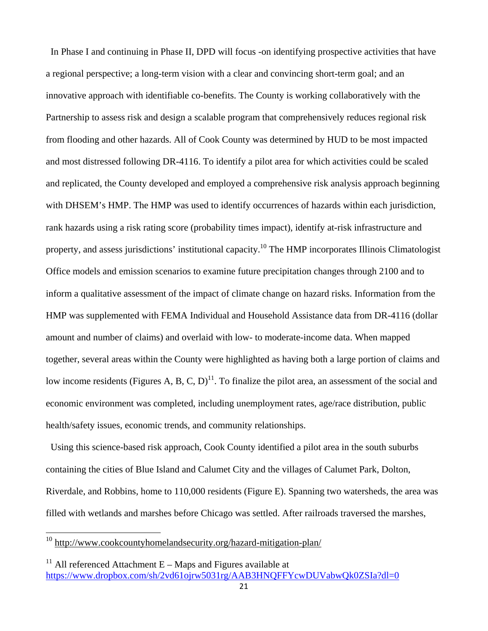In Phase I and continuing in Phase II, DPD will focus -on identifying prospective activities that have a regional perspective; a long-term vision with a clear and convincing short-term goal; and an innovative approach with identifiable co-benefits. The County is working collaboratively with the Partnership to assess risk and design a scalable program that comprehensively reduces regional risk from flooding and other hazards. All of Cook County was determined by HUD to be most impacted and most distressed following DR-4116. To identify a pilot area for which activities could be scaled and replicated, the County developed and employed a comprehensive risk analysis approach beginning with DHSEM's HMP. The HMP was used to identify occurrences of hazards within each jurisdiction, rank hazards using a risk rating score (probability times impact), identify at-risk infrastructure and property, and assess jurisdictions' institutional capacity.10 The HMP incorporates Illinois Climatologist Office models and emission scenarios to examine future precipitation changes through 2100 and to inform a qualitative assessment of the impact of climate change on hazard risks. Information from the HMP was supplemented with FEMA Individual and Household Assistance data from DR-4116 (dollar amount and number of claims) and overlaid with low- to moderate-income data. When mapped together, several areas within the County were highlighted as having both a large portion of claims and low income residents (Figures A, B, C, D)<sup>11</sup>. To finalize the pilot area, an assessment of the social and economic environment was completed, including unemployment rates, age/race distribution, public health/safety issues, economic trends, and community relationships.

 Using this science-based risk approach, Cook County identified a pilot area in the south suburbs containing the cities of Blue Island and Calumet City and the villages of Calumet Park, Dolton, Riverdale, and Robbins, home to 110,000 residents (Figure E). Spanning two watersheds, the area was filled with wetlands and marshes before Chicago was settled. After railroads traversed the marshes,

<sup>&</sup>lt;sup>10</sup> http://www.cookcountyhomelandsecurity.org/hazard-mitigation-plan/

<sup>&</sup>lt;sup>11</sup> All referenced Attachment  $E - M$ aps and Figures available at https://www.dropbox.com/sh/2vd61ojrw5031rg/AAB3HNQFFYcwDUVabwQk0ZSIa?dl=0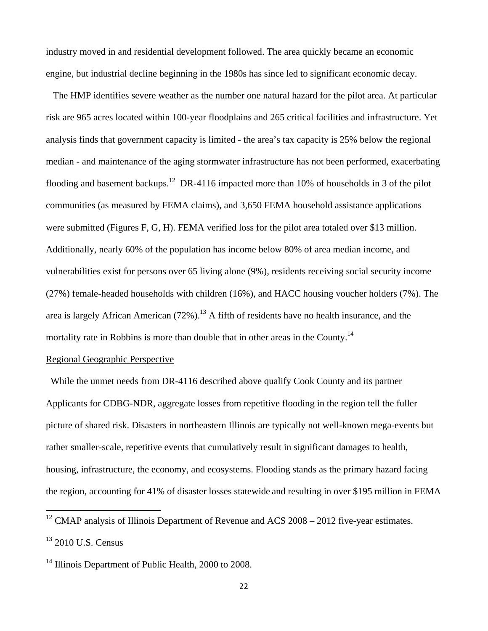industry moved in and residential development followed. The area quickly became an economic engine, but industrial decline beginning in the 1980s has since led to significant economic decay.

 The HMP identifies severe weather as the number one natural hazard for the pilot area. At particular risk are 965 acres located within 100-year floodplains and 265 critical facilities and infrastructure. Yet analysis finds that government capacity is limited - the area's tax capacity is 25% below the regional median - and maintenance of the aging stormwater infrastructure has not been performed, exacerbating flooding and basement backups.<sup>12</sup> DR-4116 impacted more than 10% of households in 3 of the pilot communities (as measured by FEMA claims), and 3,650 FEMA household assistance applications were submitted (Figures F, G, H). FEMA verified loss for the pilot area totaled over \$13 million. Additionally, nearly 60% of the population has income below 80% of area median income, and vulnerabilities exist for persons over 65 living alone (9%), residents receiving social security income (27%) female-headed households with children (16%), and HACC housing voucher holders (7%). The area is largely African American  $(72\%)$ .<sup>13</sup> A fifth of residents have no health insurance, and the mortality rate in Robbins is more than double that in other areas in the County.<sup>14</sup>

# Regional Geographic Perspective

 While the unmet needs from DR-4116 described above qualify Cook County and its partner Applicants for CDBG-NDR, aggregate losses from repetitive flooding in the region tell the fuller picture of shared risk. Disasters in northeastern Illinois are typically not well-known mega-events but rather smaller-scale, repetitive events that cumulatively result in significant damages to health, housing, infrastructure, the economy, and ecosystems. Flooding stands as the primary hazard facing the region, accounting for 41% of disaster losses statewide and resulting in over \$195 million in FEMA

 $12$  CMAP analysis of Illinois Department of Revenue and ACS 2008 – 2012 five-year estimates.

<sup>&</sup>lt;sup>13</sup> 2010 U.S. Census

<sup>&</sup>lt;sup>14</sup> Illinois Department of Public Health, 2000 to 2008.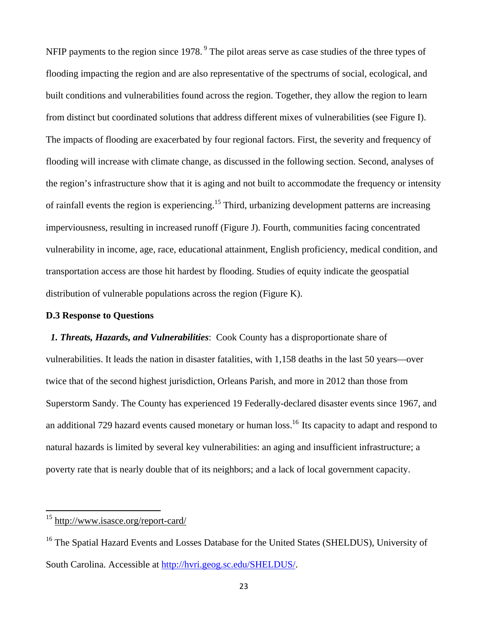NFIP payments to the region since 1978.<sup>9</sup> The pilot areas serve as case studies of the three types of flooding impacting the region and are also representative of the spectrums of social, ecological, and built conditions and vulnerabilities found across the region. Together, they allow the region to learn from distinct but coordinated solutions that address different mixes of vulnerabilities (see Figure I). The impacts of flooding are exacerbated by four regional factors. First, the severity and frequency of flooding will increase with climate change, as discussed in the following section. Second, analyses of the region's infrastructure show that it is aging and not built to accommodate the frequency or intensity of rainfall events the region is experiencing.<sup>15</sup> Third, urbanizing development patterns are increasing imperviousness, resulting in increased runoff (Figure J). Fourth, communities facing concentrated vulnerability in income, age, race, educational attainment, English proficiency, medical condition, and transportation access are those hit hardest by flooding. Studies of equity indicate the geospatial distribution of vulnerable populations across the region (Figure K).

## **D.3 Response to Questions**

 *1. Threats, Hazards, and Vulnerabilities*: Cook County has a disproportionate share of vulnerabilities. It leads the nation in disaster fatalities, with 1,158 deaths in the last 50 years—over twice that of the second highest jurisdiction, Orleans Parish, and more in 2012 than those from Superstorm Sandy. The County has experienced 19 Federally-declared disaster events since 1967, and an additional 729 hazard events caused monetary or human loss.<sup>16</sup> Its capacity to adapt and respond to natural hazards is limited by several key vulnerabilities: an aging and insufficient infrastructure; a poverty rate that is nearly double that of its neighbors; and a lack of local government capacity.

<sup>&</sup>lt;sup>15</sup> http://www.isasce.org/report-card/

<sup>&</sup>lt;sup>16</sup> The Spatial Hazard Events and Losses Database for the United States (SHELDUS), University of South Carolina. Accessible at http://hvri.geog.sc.edu/SHELDUS/.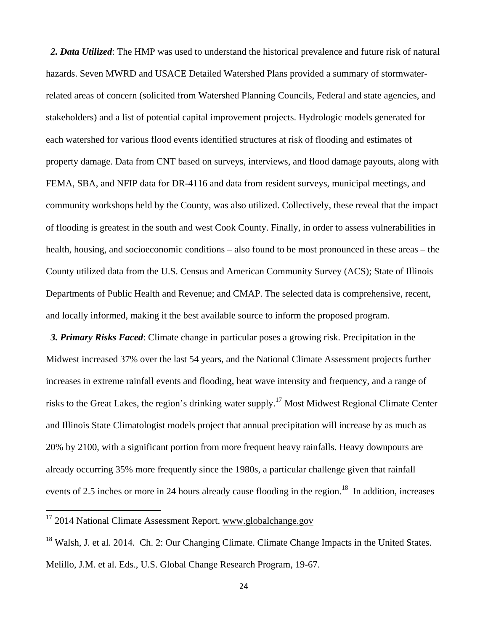*2. Data Utilized*: The HMP was used to understand the historical prevalence and future risk of natural hazards. Seven MWRD and USACE Detailed Watershed Plans provided a summary of stormwaterrelated areas of concern (solicited from Watershed Planning Councils, Federal and state agencies, and stakeholders) and a list of potential capital improvement projects. Hydrologic models generated for each watershed for various flood events identified structures at risk of flooding and estimates of property damage. Data from CNT based on surveys, interviews, and flood damage payouts, along with FEMA, SBA, and NFIP data for DR-4116 and data from resident surveys, municipal meetings, and community workshops held by the County, was also utilized. Collectively, these reveal that the impact of flooding is greatest in the south and west Cook County. Finally, in order to assess vulnerabilities in health, housing, and socioeconomic conditions – also found to be most pronounced in these areas – the County utilized data from the U.S. Census and American Community Survey (ACS); State of Illinois Departments of Public Health and Revenue; and CMAP. The selected data is comprehensive, recent, and locally informed, making it the best available source to inform the proposed program.

 *3. Primary Risks Faced*: Climate change in particular poses a growing risk. Precipitation in the Midwest increased 37% over the last 54 years, and the National Climate Assessment projects further increases in extreme rainfall events and flooding, heat wave intensity and frequency, and a range of risks to the Great Lakes, the region's drinking water supply.17 Most Midwest Regional Climate Center and Illinois State Climatologist models project that annual precipitation will increase by as much as 20% by 2100, with a significant portion from more frequent heavy rainfalls. Heavy downpours are already occurring 35% more frequently since the 1980s, a particular challenge given that rainfall events of 2.5 inches or more in 24 hours already cause flooding in the region.<sup>18</sup> In addition, increases

 $18$  Walsh, J. et al. 2014. Ch. 2: Our Changing Climate. Climate Change Impacts in the United States. Melillo, J.M. et al. Eds., U.S. Global Change Research Program, 19-67.

<sup>&</sup>lt;sup>17</sup> 2014 National Climate Assessment Report. www.globalchange.gov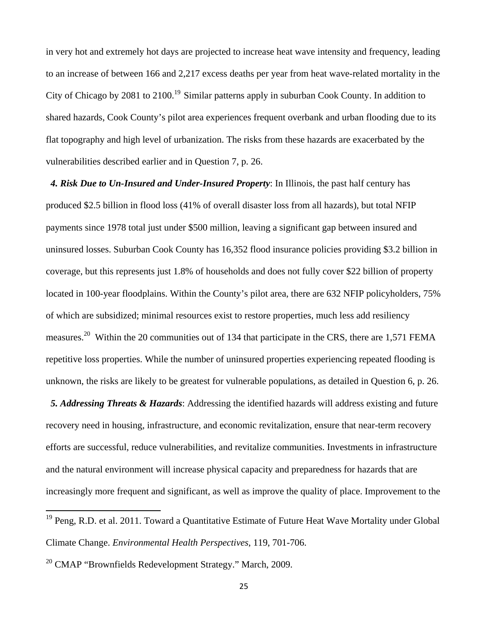in very hot and extremely hot days are projected to increase heat wave intensity and frequency, leading to an increase of between 166 and 2,217 excess deaths per year from heat wave-related mortality in the City of Chicago by 2081 to 2100.<sup>19</sup> Similar patterns apply in suburban Cook County. In addition to shared hazards, Cook County's pilot area experiences frequent overbank and urban flooding due to its flat topography and high level of urbanization. The risks from these hazards are exacerbated by the vulnerabilities described earlier and in Question 7, p. 26.

 *4. Risk Due to Un-Insured and Under-Insured Property*: In Illinois, the past half century has produced \$2.5 billion in flood loss (41% of overall disaster loss from all hazards), but total NFIP payments since 1978 total just under \$500 million, leaving a significant gap between insured and uninsured losses. Suburban Cook County has 16,352 flood insurance policies providing \$3.2 billion in coverage, but this represents just 1.8% of households and does not fully cover \$22 billion of property located in 100-year floodplains. Within the County's pilot area, there are 632 NFIP policyholders, 75% of which are subsidized; minimal resources exist to restore properties, much less add resiliency measures.<sup>20</sup> Within the 20 communities out of 134 that participate in the CRS, there are 1,571 FEMA repetitive loss properties. While the number of uninsured properties experiencing repeated flooding is unknown, the risks are likely to be greatest for vulnerable populations, as detailed in Question 6, p. 26.

 *5. Addressing Threats & Hazards*: Addressing the identified hazards will address existing and future recovery need in housing, infrastructure, and economic revitalization, ensure that near-term recovery efforts are successful, reduce vulnerabilities, and revitalize communities. Investments in infrastructure and the natural environment will increase physical capacity and preparedness for hazards that are increasingly more frequent and significant, as well as improve the quality of place. Improvement to the

<sup>&</sup>lt;sup>19</sup> Peng, R.D. et al. 2011. Toward a Quantitative Estimate of Future Heat Wave Mortality under Global Climate Change. *Environmental Health Perspectives*, 119, 701-706.

<sup>20</sup> CMAP "Brownfields Redevelopment Strategy." March, 2009.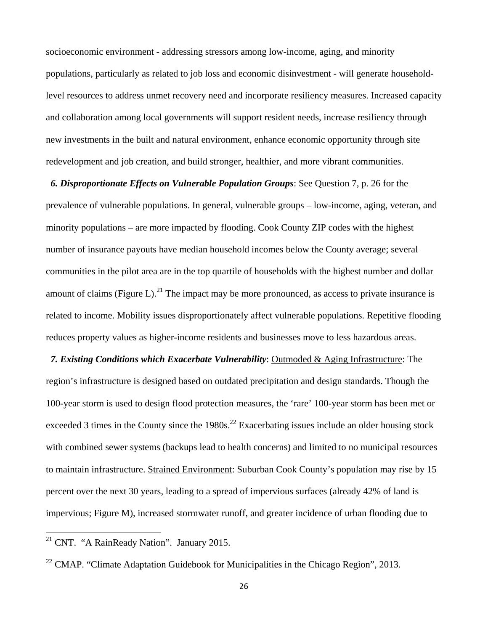socioeconomic environment - addressing stressors among low-income, aging, and minority populations, particularly as related to job loss and economic disinvestment - will generate householdlevel resources to address unmet recovery need and incorporate resiliency measures. Increased capacity and collaboration among local governments will support resident needs, increase resiliency through new investments in the built and natural environment, enhance economic opportunity through site redevelopment and job creation, and build stronger, healthier, and more vibrant communities.

#### *6. Disproportionate Effects on Vulnerable Population Groups*: See Question 7, p. 26 for the

prevalence of vulnerable populations. In general, vulnerable groups – low-income, aging, veteran, and minority populations – are more impacted by flooding. Cook County ZIP codes with the highest number of insurance payouts have median household incomes below the County average; several communities in the pilot area are in the top quartile of households with the highest number and dollar amount of claims (Figure L).<sup>21</sup> The impact may be more pronounced, as access to private insurance is related to income. Mobility issues disproportionately affect vulnerable populations. Repetitive flooding reduces property values as higher-income residents and businesses move to less hazardous areas.

 *7. Existing Conditions which Exacerbate Vulnerability*: Outmoded & Aging Infrastructure: The region's infrastructure is designed based on outdated precipitation and design standards. Though the 100-year storm is used to design flood protection measures, the 'rare' 100-year storm has been met or exceeded 3 times in the County since the  $1980s$ <sup>22</sup> Exacerbating issues include an older housing stock with combined sewer systems (backups lead to health concerns) and limited to no municipal resources to maintain infrastructure. Strained Environment: Suburban Cook County's population may rise by 15 percent over the next 30 years, leading to a spread of impervious surfaces (already 42% of land is impervious; Figure M), increased stormwater runoff, and greater incidence of urban flooding due to

 $21$  CNT. "A RainReady Nation". January 2015.

<sup>22</sup> CMAP. "Climate Adaptation Guidebook for Municipalities in the Chicago Region", 2013.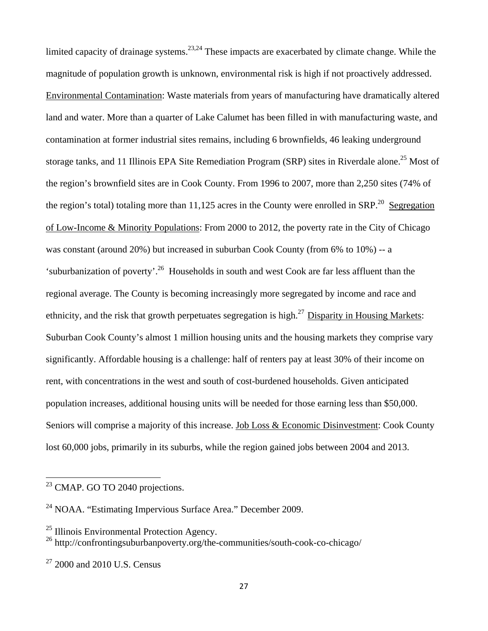limited capacity of drainage systems.<sup>23,24</sup> These impacts are exacerbated by climate change. While the magnitude of population growth is unknown, environmental risk is high if not proactively addressed. Environmental Contamination: Waste materials from years of manufacturing have dramatically altered land and water. More than a quarter of Lake Calumet has been filled in with manufacturing waste, and contamination at former industrial sites remains, including 6 brownfields, 46 leaking underground storage tanks, and 11 Illinois EPA Site Remediation Program (SRP) sites in Riverdale alone.<sup>25</sup> Most of the region's brownfield sites are in Cook County. From 1996 to 2007, more than 2,250 sites (74% of the region's total) totaling more than  $11,125$  acres in the County were enrolled in SRP.<sup>20</sup> Segregation of Low-Income & Minority Populations: From 2000 to 2012, the poverty rate in the City of Chicago was constant (around 20%) but increased in suburban Cook County (from 6% to 10%) -- a 'suburbanization of poverty'.26 Households in south and west Cook are far less affluent than the regional average. The County is becoming increasingly more segregated by income and race and ethnicity, and the risk that growth perpetuates segregation is high.<sup>27</sup> Disparity in Housing Markets: Suburban Cook County's almost 1 million housing units and the housing markets they comprise vary significantly. Affordable housing is a challenge: half of renters pay at least 30% of their income on rent, with concentrations in the west and south of cost-burdened households. Given anticipated population increases, additional housing units will be needed for those earning less than \$50,000. Seniors will comprise a majority of this increase. Job Loss & Economic Disinvestment: Cook County lost 60,000 jobs, primarily in its suburbs, while the region gained jobs between 2004 and 2013.

 $^{23}$  CMAP. GO TO 2040 projections.

<sup>24</sup> NOAA. "Estimating Impervious Surface Area." December 2009.

 $25$  Illinois Environmental Protection Agency.

<sup>26</sup> http://confrontingsuburbanpoverty.org/the-communities/south-cook-co-chicago/

 $27$  2000 and 2010 U.S. Census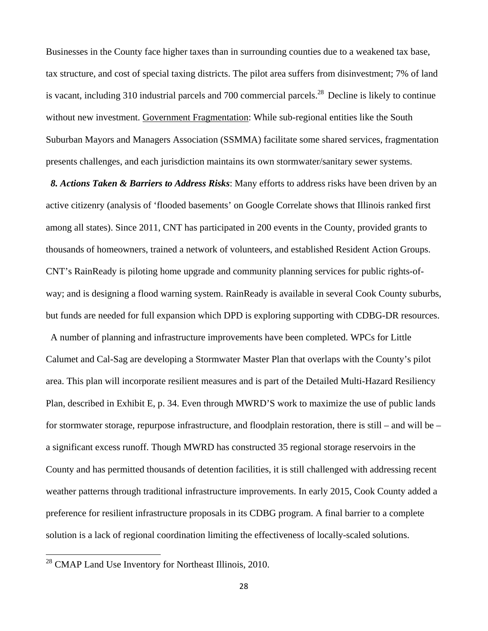Businesses in the County face higher taxes than in surrounding counties due to a weakened tax base, tax structure, and cost of special taxing districts. The pilot area suffers from disinvestment; 7% of land is vacant, including 310 industrial parcels and 700 commercial parcels.<sup>28</sup> Decline is likely to continue without new investment. Government Fragmentation: While sub-regional entities like the South Suburban Mayors and Managers Association (SSMMA) facilitate some shared services, fragmentation presents challenges, and each jurisdiction maintains its own stormwater/sanitary sewer systems.

 *8. Actions Taken & Barriers to Address Risks*: Many efforts to address risks have been driven by an active citizenry (analysis of 'flooded basements' on Google Correlate shows that Illinois ranked first among all states). Since 2011, CNT has participated in 200 events in the County, provided grants to thousands of homeowners, trained a network of volunteers, and established Resident Action Groups. CNT's RainReady is piloting home upgrade and community planning services for public rights-ofway; and is designing a flood warning system. RainReady is available in several Cook County suburbs, but funds are needed for full expansion which DPD is exploring supporting with CDBG-DR resources.

 A number of planning and infrastructure improvements have been completed. WPCs for Little Calumet and Cal-Sag are developing a Stormwater Master Plan that overlaps with the County's pilot area. This plan will incorporate resilient measures and is part of the Detailed Multi-Hazard Resiliency Plan, described in Exhibit E, p. 34. Even through MWRD'S work to maximize the use of public lands for stormwater storage, repurpose infrastructure, and floodplain restoration, there is still – and will be – a significant excess runoff. Though MWRD has constructed 35 regional storage reservoirs in the County and has permitted thousands of detention facilities, it is still challenged with addressing recent weather patterns through traditional infrastructure improvements. In early 2015, Cook County added a preference for resilient infrastructure proposals in its CDBG program. A final barrier to a complete solution is a lack of regional coordination limiting the effectiveness of locally-scaled solutions.

 $28$  CMAP Land Use Inventory for Northeast Illinois, 2010.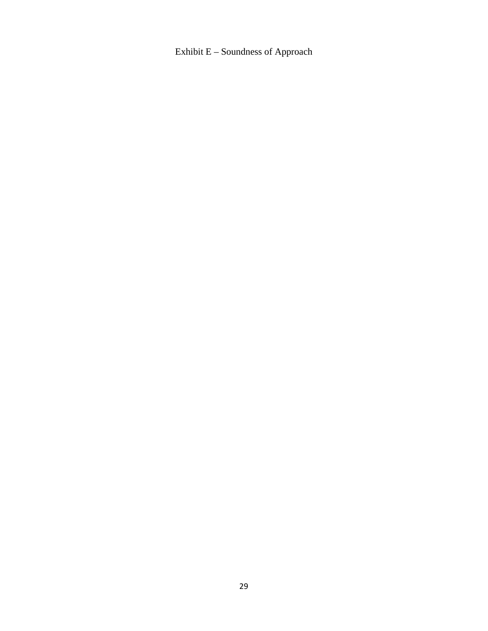Exhibit E – Soundness of Approach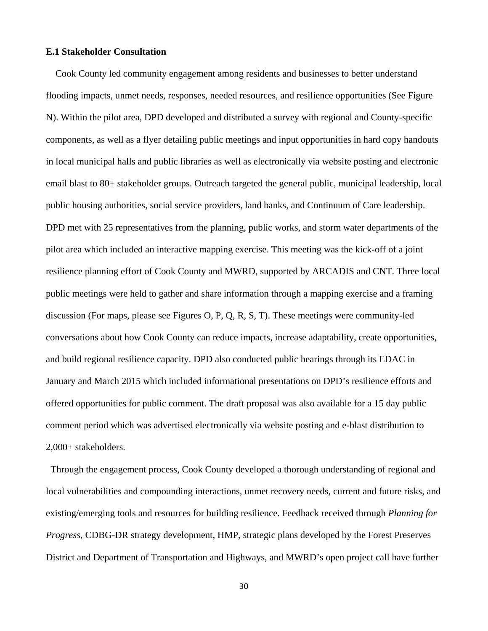## **E.1 Stakeholder Consultation**

 Cook County led community engagement among residents and businesses to better understand flooding impacts, unmet needs, responses, needed resources, and resilience opportunities (See Figure N). Within the pilot area, DPD developed and distributed a survey with regional and County-specific components, as well as a flyer detailing public meetings and input opportunities in hard copy handouts in local municipal halls and public libraries as well as electronically via website posting and electronic email blast to 80+ stakeholder groups. Outreach targeted the general public, municipal leadership, local public housing authorities, social service providers, land banks, and Continuum of Care leadership. DPD met with 25 representatives from the planning, public works, and storm water departments of the pilot area which included an interactive mapping exercise. This meeting was the kick-off of a joint resilience planning effort of Cook County and MWRD, supported by ARCADIS and CNT. Three local public meetings were held to gather and share information through a mapping exercise and a framing discussion (For maps, please see Figures O, P, Q, R, S, T). These meetings were community-led conversations about how Cook County can reduce impacts, increase adaptability, create opportunities, and build regional resilience capacity. DPD also conducted public hearings through its EDAC in January and March 2015 which included informational presentations on DPD's resilience efforts and offered opportunities for public comment. The draft proposal was also available for a 15 day public comment period which was advertised electronically via website posting and e-blast distribution to 2,000+ stakeholders.

 Through the engagement process, Cook County developed a thorough understanding of regional and local vulnerabilities and compounding interactions, unmet recovery needs, current and future risks, and existing/emerging tools and resources for building resilience. Feedback received through *Planning for Progress*, CDBG-DR strategy development, HMP, strategic plans developed by the Forest Preserves District and Department of Transportation and Highways, and MWRD's open project call have further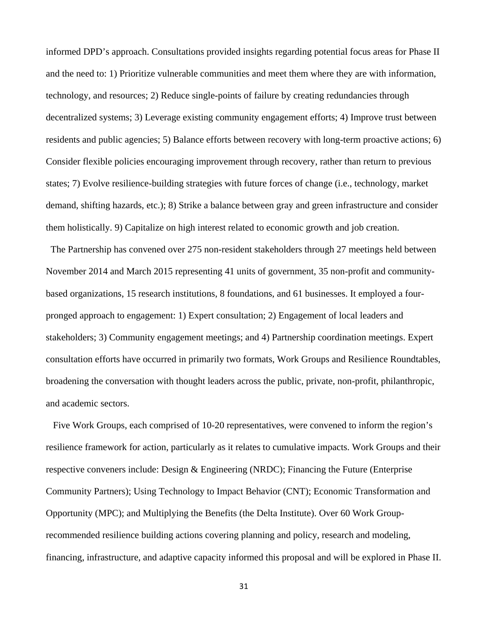informed DPD's approach. Consultations provided insights regarding potential focus areas for Phase II and the need to: 1) Prioritize vulnerable communities and meet them where they are with information, technology, and resources; 2) Reduce single-points of failure by creating redundancies through decentralized systems; 3) Leverage existing community engagement efforts; 4) Improve trust between residents and public agencies; 5) Balance efforts between recovery with long-term proactive actions; 6) Consider flexible policies encouraging improvement through recovery, rather than return to previous states; 7) Evolve resilience-building strategies with future forces of change (i.e., technology, market demand, shifting hazards, etc.); 8) Strike a balance between gray and green infrastructure and consider them holistically. 9) Capitalize on high interest related to economic growth and job creation.

 The Partnership has convened over 275 non-resident stakeholders through 27 meetings held between November 2014 and March 2015 representing 41 units of government, 35 non-profit and communitybased organizations, 15 research institutions, 8 foundations, and 61 businesses. It employed a fourpronged approach to engagement: 1) Expert consultation; 2) Engagement of local leaders and stakeholders; 3) Community engagement meetings; and 4) Partnership coordination meetings. Expert consultation efforts have occurred in primarily two formats, Work Groups and Resilience Roundtables, broadening the conversation with thought leaders across the public, private, non-profit, philanthropic, and academic sectors.

 Five Work Groups, each comprised of 10-20 representatives, were convened to inform the region's resilience framework for action, particularly as it relates to cumulative impacts. Work Groups and their respective conveners include: Design & Engineering (NRDC); Financing the Future (Enterprise Community Partners); Using Technology to Impact Behavior (CNT); Economic Transformation and Opportunity (MPC); and Multiplying the Benefits (the Delta Institute). Over 60 Work Grouprecommended resilience building actions covering planning and policy, research and modeling, financing, infrastructure, and adaptive capacity informed this proposal and will be explored in Phase II.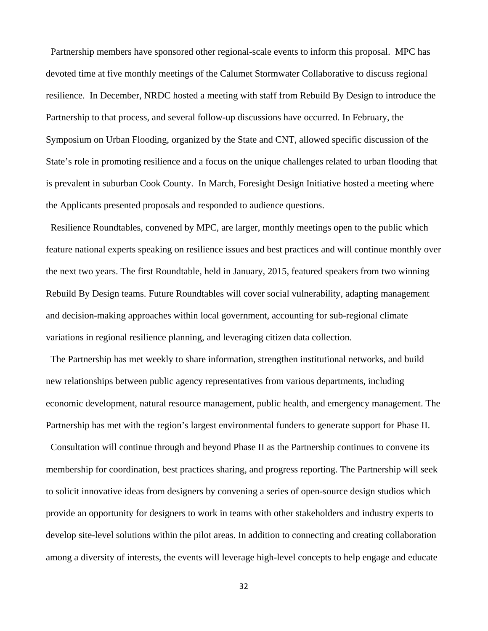Partnership members have sponsored other regional-scale events to inform this proposal. MPC has devoted time at five monthly meetings of the Calumet Stormwater Collaborative to discuss regional resilience. In December, NRDC hosted a meeting with staff from Rebuild By Design to introduce the Partnership to that process, and several follow-up discussions have occurred. In February, the Symposium on Urban Flooding, organized by the State and CNT, allowed specific discussion of the State's role in promoting resilience and a focus on the unique challenges related to urban flooding that is prevalent in suburban Cook County. In March, Foresight Design Initiative hosted a meeting where the Applicants presented proposals and responded to audience questions.

 Resilience Roundtables, convened by MPC, are larger, monthly meetings open to the public which feature national experts speaking on resilience issues and best practices and will continue monthly over the next two years. The first Roundtable, held in January, 2015, featured speakers from two winning Rebuild By Design teams. Future Roundtables will cover social vulnerability, adapting management and decision-making approaches within local government, accounting for sub-regional climate variations in regional resilience planning, and leveraging citizen data collection.

 The Partnership has met weekly to share information, strengthen institutional networks, and build new relationships between public agency representatives from various departments, including economic development, natural resource management, public health, and emergency management. The Partnership has met with the region's largest environmental funders to generate support for Phase II.

 Consultation will continue through and beyond Phase II as the Partnership continues to convene its membership for coordination, best practices sharing, and progress reporting. The Partnership will seek to solicit innovative ideas from designers by convening a series of open-source design studios which provide an opportunity for designers to work in teams with other stakeholders and industry experts to develop site-level solutions within the pilot areas. In addition to connecting and creating collaboration among a diversity of interests, the events will leverage high-level concepts to help engage and educate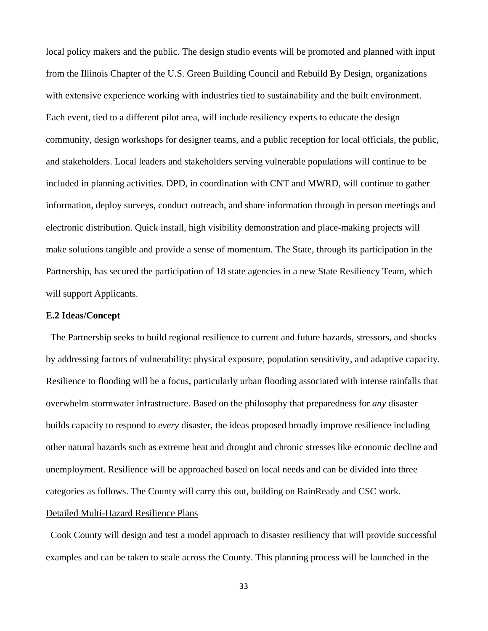local policy makers and the public. The design studio events will be promoted and planned with input from the Illinois Chapter of the U.S. Green Building Council and Rebuild By Design, organizations with extensive experience working with industries tied to sustainability and the built environment. Each event, tied to a different pilot area, will include resiliency experts to educate the design community, design workshops for designer teams, and a public reception for local officials, the public, and stakeholders. Local leaders and stakeholders serving vulnerable populations will continue to be included in planning activities. DPD, in coordination with CNT and MWRD, will continue to gather information, deploy surveys, conduct outreach, and share information through in person meetings and electronic distribution. Quick install, high visibility demonstration and place-making projects will make solutions tangible and provide a sense of momentum. The State, through its participation in the Partnership, has secured the participation of 18 state agencies in a new State Resiliency Team, which will support Applicants.

## **E.2 Ideas/Concept**

 The Partnership seeks to build regional resilience to current and future hazards, stressors, and shocks by addressing factors of vulnerability: physical exposure, population sensitivity, and adaptive capacity. Resilience to flooding will be a focus, particularly urban flooding associated with intense rainfalls that overwhelm stormwater infrastructure. Based on the philosophy that preparedness for *any* disaster builds capacity to respond to *every* disaster, the ideas proposed broadly improve resilience including other natural hazards such as extreme heat and drought and chronic stresses like economic decline and unemployment. Resilience will be approached based on local needs and can be divided into three categories as follows. The County will carry this out, building on RainReady and CSC work.

### Detailed Multi-Hazard Resilience Plans

 Cook County will design and test a model approach to disaster resiliency that will provide successful examples and can be taken to scale across the County. This planning process will be launched in the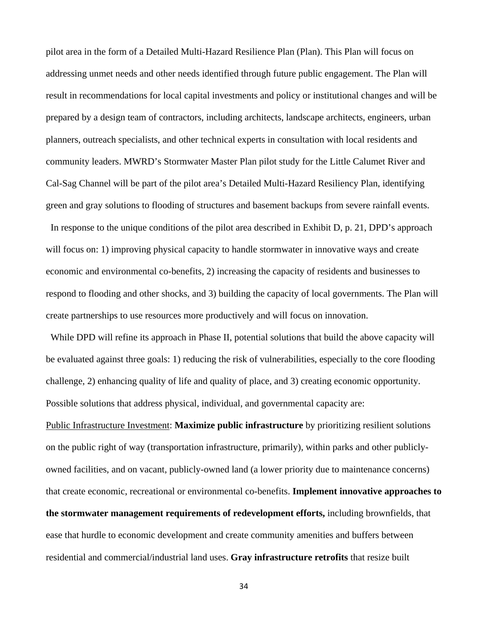pilot area in the form of a Detailed Multi-Hazard Resilience Plan (Plan). This Plan will focus on addressing unmet needs and other needs identified through future public engagement. The Plan will result in recommendations for local capital investments and policy or institutional changes and will be prepared by a design team of contractors, including architects, landscape architects, engineers, urban planners, outreach specialists, and other technical experts in consultation with local residents and community leaders. MWRD's Stormwater Master Plan pilot study for the Little Calumet River and Cal-Sag Channel will be part of the pilot area's Detailed Multi-Hazard Resiliency Plan, identifying green and gray solutions to flooding of structures and basement backups from severe rainfall events.

 In response to the unique conditions of the pilot area described in Exhibit D, p. 21, DPD's approach will focus on: 1) improving physical capacity to handle stormwater in innovative ways and create economic and environmental co-benefits, 2) increasing the capacity of residents and businesses to respond to flooding and other shocks, and 3) building the capacity of local governments. The Plan will create partnerships to use resources more productively and will focus on innovation.

 While DPD will refine its approach in Phase II, potential solutions that build the above capacity will be evaluated against three goals: 1) reducing the risk of vulnerabilities, especially to the core flooding challenge, 2) enhancing quality of life and quality of place, and 3) creating economic opportunity. Possible solutions that address physical, individual, and governmental capacity are:

Public Infrastructure Investment: **Maximize public infrastructure** by prioritizing resilient solutions on the public right of way (transportation infrastructure, primarily), within parks and other publiclyowned facilities, and on vacant, publicly-owned land (a lower priority due to maintenance concerns) that create economic, recreational or environmental co-benefits. **Implement innovative approaches to the stormwater management requirements of redevelopment efforts,** including brownfields, that ease that hurdle to economic development and create community amenities and buffers between residential and commercial/industrial land uses. **Gray infrastructure retrofits** that resize built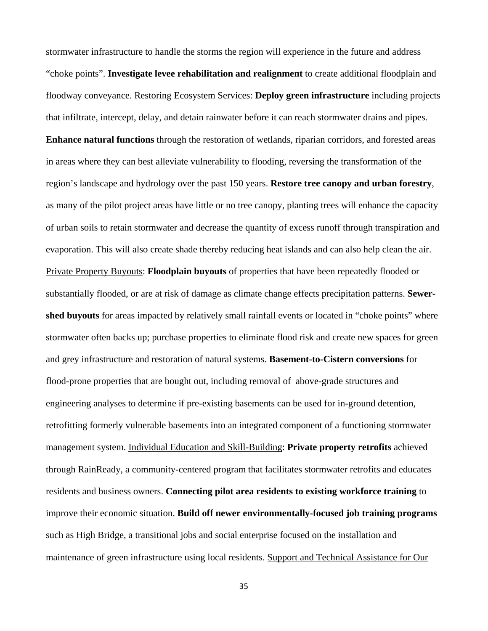stormwater infrastructure to handle the storms the region will experience in the future and address "choke points". **Investigate levee rehabilitation and realignment** to create additional floodplain and floodway conveyance. Restoring Ecosystem Services: **Deploy green infrastructure** including projects that infiltrate, intercept, delay, and detain rainwater before it can reach stormwater drains and pipes. **Enhance natural functions** through the restoration of wetlands, riparian corridors, and forested areas in areas where they can best alleviate vulnerability to flooding, reversing the transformation of the region's landscape and hydrology over the past 150 years. **Restore tree canopy and urban forestry**, as many of the pilot project areas have little or no tree canopy, planting trees will enhance the capacity of urban soils to retain stormwater and decrease the quantity of excess runoff through transpiration and evaporation. This will also create shade thereby reducing heat islands and can also help clean the air. Private Property Buyouts: **Floodplain buyouts** of properties that have been repeatedly flooded or substantially flooded, or are at risk of damage as climate change effects precipitation patterns. **Sewershed buyouts** for areas impacted by relatively small rainfall events or located in "choke points" where stormwater often backs up; purchase properties to eliminate flood risk and create new spaces for green and grey infrastructure and restoration of natural systems. **Basement-to-Cistern conversions** for flood-prone properties that are bought out, including removal of above-grade structures and engineering analyses to determine if pre-existing basements can be used for in-ground detention, retrofitting formerly vulnerable basements into an integrated component of a functioning stormwater management system. Individual Education and Skill-Building: **Private property retrofits** achieved through RainReady, a community-centered program that facilitates stormwater retrofits and educates residents and business owners. **Connecting pilot area residents to existing workforce training** to improve their economic situation. **Build off newer environmentally-focused job training programs** such as High Bridge, a transitional jobs and social enterprise focused on the installation and maintenance of green infrastructure using local residents. Support and Technical Assistance for Our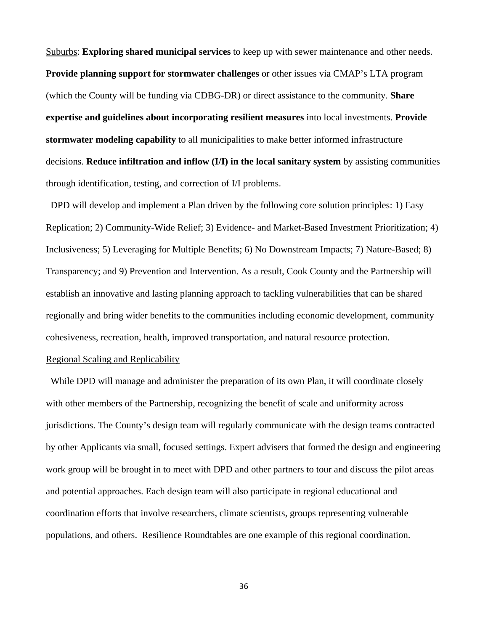Suburbs: **Exploring shared municipal services** to keep up with sewer maintenance and other needs. **Provide planning support for stormwater challenges** or other issues via CMAP's LTA program (which the County will be funding via CDBG-DR) or direct assistance to the community. **Share expertise and guidelines about incorporating resilient measures** into local investments. **Provide stormwater modeling capability** to all municipalities to make better informed infrastructure decisions. **Reduce infiltration and inflow (I/I) in the local sanitary system** by assisting communities through identification, testing, and correction of I/I problems.

 DPD will develop and implement a Plan driven by the following core solution principles: 1) Easy Replication; 2) Community-Wide Relief; 3) Evidence- and Market-Based Investment Prioritization; 4) Inclusiveness; 5) Leveraging for Multiple Benefits; 6) No Downstream Impacts; 7) Nature-Based; 8) Transparency; and 9) Prevention and Intervention. As a result, Cook County and the Partnership will establish an innovative and lasting planning approach to tackling vulnerabilities that can be shared regionally and bring wider benefits to the communities including economic development, community cohesiveness, recreation, health, improved transportation, and natural resource protection.

# Regional Scaling and Replicability

 While DPD will manage and administer the preparation of its own Plan, it will coordinate closely with other members of the Partnership, recognizing the benefit of scale and uniformity across jurisdictions. The County's design team will regularly communicate with the design teams contracted by other Applicants via small, focused settings. Expert advisers that formed the design and engineering work group will be brought in to meet with DPD and other partners to tour and discuss the pilot areas and potential approaches. Each design team will also participate in regional educational and coordination efforts that involve researchers, climate scientists, groups representing vulnerable populations, and others. Resilience Roundtables are one example of this regional coordination.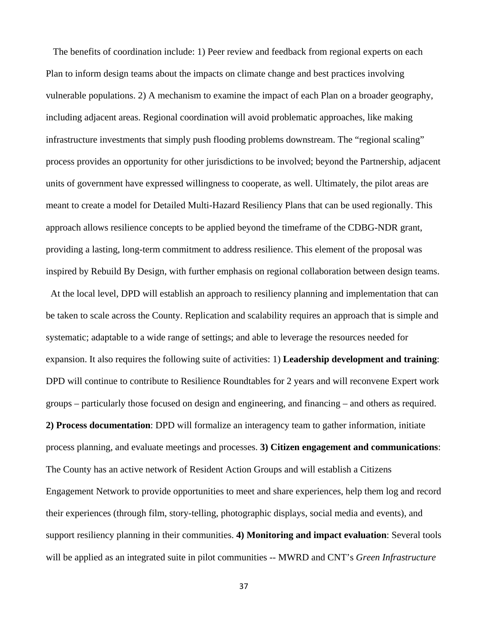The benefits of coordination include: 1) Peer review and feedback from regional experts on each Plan to inform design teams about the impacts on climate change and best practices involving vulnerable populations. 2) A mechanism to examine the impact of each Plan on a broader geography, including adjacent areas. Regional coordination will avoid problematic approaches, like making infrastructure investments that simply push flooding problems downstream. The "regional scaling" process provides an opportunity for other jurisdictions to be involved; beyond the Partnership, adjacent units of government have expressed willingness to cooperate, as well. Ultimately, the pilot areas are meant to create a model for Detailed Multi-Hazard Resiliency Plans that can be used regionally. This approach allows resilience concepts to be applied beyond the timeframe of the CDBG-NDR grant, providing a lasting, long-term commitment to address resilience. This element of the proposal was inspired by Rebuild By Design, with further emphasis on regional collaboration between design teams.

 At the local level, DPD will establish an approach to resiliency planning and implementation that can be taken to scale across the County. Replication and scalability requires an approach that is simple and systematic; adaptable to a wide range of settings; and able to leverage the resources needed for expansion. It also requires the following suite of activities: 1) **Leadership development and training**: DPD will continue to contribute to Resilience Roundtables for 2 years and will reconvene Expert work groups – particularly those focused on design and engineering, and financing – and others as required. **2) Process documentation**: DPD will formalize an interagency team to gather information, initiate process planning, and evaluate meetings and processes. **3) Citizen engagement and communications**: The County has an active network of Resident Action Groups and will establish a Citizens Engagement Network to provide opportunities to meet and share experiences, help them log and record their experiences (through film, story-telling, photographic displays, social media and events), and support resiliency planning in their communities. **4) Monitoring and impact evaluation**: Several tools will be applied as an integrated suite in pilot communities -- MWRD and CNT's *Green Infrastructure*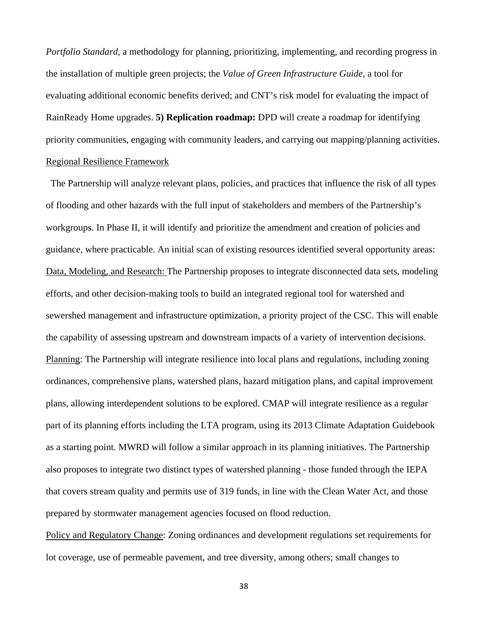*Portfolio Standard*, a methodology for planning, prioritizing, implementing, and recording progress in the installation of multiple green projects; the *Value of Green Infrastructure Guide*, a tool for evaluating additional economic benefits derived; and CNT's risk model for evaluating the impact of RainReady Home upgrades. **5) Replication roadmap:** DPD will create a roadmap for identifying priority communities, engaging with community leaders, and carrying out mapping/planning activities. Regional Resilience Framework

 The Partnership will analyze relevant plans, policies, and practices that influence the risk of all types of flooding and other hazards with the full input of stakeholders and members of the Partnership's workgroups. In Phase II, it will identify and prioritize the amendment and creation of policies and guidance, where practicable. An initial scan of existing resources identified several opportunity areas: Data, Modeling, and Research: The Partnership proposes to integrate disconnected data sets, modeling efforts, and other decision-making tools to build an integrated regional tool for watershed and sewershed management and infrastructure optimization, a priority project of the CSC. This will enable the capability of assessing upstream and downstream impacts of a variety of intervention decisions. Planning: The Partnership will integrate resilience into local plans and regulations, including zoning ordinances, comprehensive plans, watershed plans, hazard mitigation plans, and capital improvement plans, allowing interdependent solutions to be explored. CMAP will integrate resilience as a regular part of its planning efforts including the LTA program, using its 2013 Climate Adaptation Guidebook as a starting point. MWRD will follow a similar approach in its planning initiatives. The Partnership also proposes to integrate two distinct types of watershed planning - those funded through the IEPA that covers stream quality and permits use of 319 funds, in line with the Clean Water Act, and those prepared by stormwater management agencies focused on flood reduction.

Policy and Regulatory Change: Zoning ordinances and development regulations set requirements for lot coverage, use of permeable pavement, and tree diversity, among others; small changes to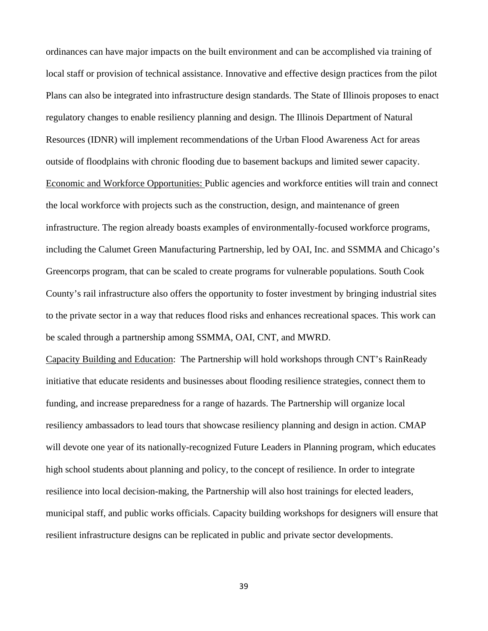ordinances can have major impacts on the built environment and can be accomplished via training of local staff or provision of technical assistance. Innovative and effective design practices from the pilot Plans can also be integrated into infrastructure design standards. The State of Illinois proposes to enact regulatory changes to enable resiliency planning and design. The Illinois Department of Natural Resources (IDNR) will implement recommendations of the Urban Flood Awareness Act for areas outside of floodplains with chronic flooding due to basement backups and limited sewer capacity. Economic and Workforce Opportunities: Public agencies and workforce entities will train and connect the local workforce with projects such as the construction, design, and maintenance of green infrastructure. The region already boasts examples of environmentally-focused workforce programs, including the Calumet Green Manufacturing Partnership, led by OAI, Inc. and SSMMA and Chicago's Greencorps program, that can be scaled to create programs for vulnerable populations. South Cook County's rail infrastructure also offers the opportunity to foster investment by bringing industrial sites to the private sector in a way that reduces flood risks and enhances recreational spaces. This work can be scaled through a partnership among SSMMA, OAI, CNT, and MWRD.

Capacity Building and Education: The Partnership will hold workshops through CNT's RainReady initiative that educate residents and businesses about flooding resilience strategies, connect them to funding, and increase preparedness for a range of hazards. The Partnership will organize local resiliency ambassadors to lead tours that showcase resiliency planning and design in action. CMAP will devote one year of its nationally-recognized Future Leaders in Planning program, which educates high school students about planning and policy, to the concept of resilience. In order to integrate resilience into local decision-making, the Partnership will also host trainings for elected leaders, municipal staff, and public works officials. Capacity building workshops for designers will ensure that resilient infrastructure designs can be replicated in public and private sector developments.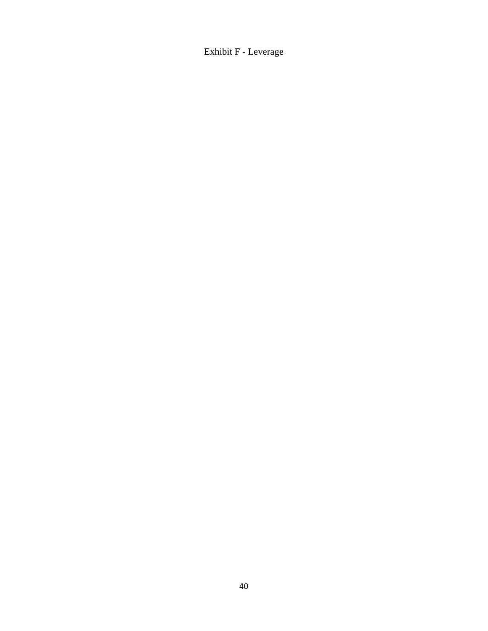Exhibit F - Leverage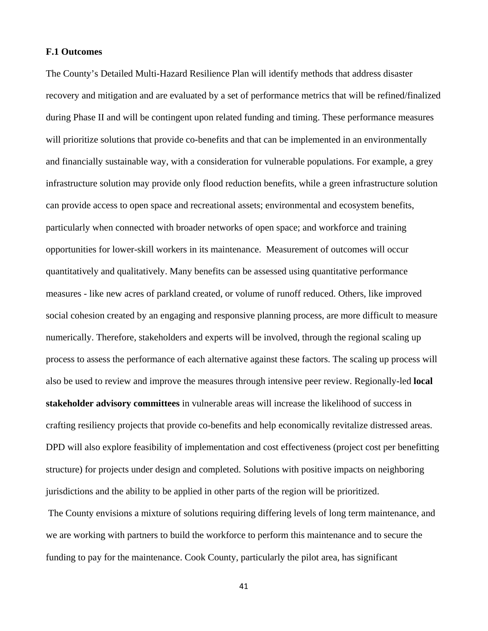### **F.1 Outcomes**

The County's Detailed Multi-Hazard Resilience Plan will identify methods that address disaster recovery and mitigation and are evaluated by a set of performance metrics that will be refined/finalized during Phase II and will be contingent upon related funding and timing. These performance measures will prioritize solutions that provide co-benefits and that can be implemented in an environmentally and financially sustainable way, with a consideration for vulnerable populations. For example, a grey infrastructure solution may provide only flood reduction benefits, while a green infrastructure solution can provide access to open space and recreational assets; environmental and ecosystem benefits, particularly when connected with broader networks of open space; and workforce and training opportunities for lower-skill workers in its maintenance. Measurement of outcomes will occur quantitatively and qualitatively. Many benefits can be assessed using quantitative performance measures - like new acres of parkland created, or volume of runoff reduced. Others, like improved social cohesion created by an engaging and responsive planning process, are more difficult to measure numerically. Therefore, stakeholders and experts will be involved, through the regional scaling up process to assess the performance of each alternative against these factors. The scaling up process will also be used to review and improve the measures through intensive peer review. Regionally-led **local stakeholder advisory committees** in vulnerable areas will increase the likelihood of success in crafting resiliency projects that provide co-benefits and help economically revitalize distressed areas. DPD will also explore feasibility of implementation and cost effectiveness (project cost per benefitting structure) for projects under design and completed. Solutions with positive impacts on neighboring jurisdictions and the ability to be applied in other parts of the region will be prioritized.

 The County envisions a mixture of solutions requiring differing levels of long term maintenance, and we are working with partners to build the workforce to perform this maintenance and to secure the funding to pay for the maintenance. Cook County, particularly the pilot area, has significant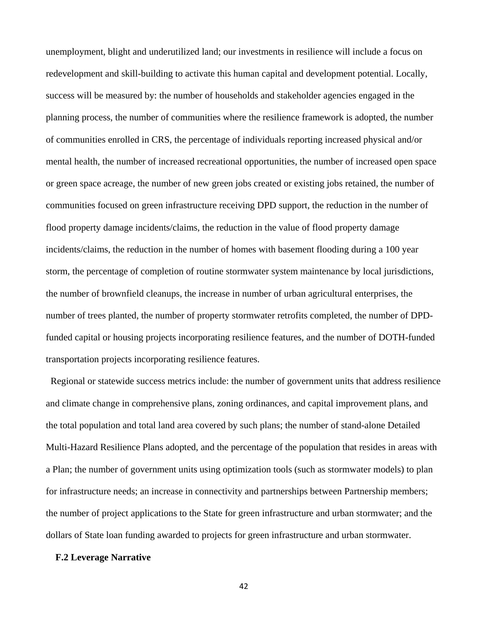unemployment, blight and underutilized land; our investments in resilience will include a focus on redevelopment and skill-building to activate this human capital and development potential. Locally, success will be measured by: the number of households and stakeholder agencies engaged in the planning process, the number of communities where the resilience framework is adopted, the number of communities enrolled in CRS, the percentage of individuals reporting increased physical and/or mental health, the number of increased recreational opportunities, the number of increased open space or green space acreage, the number of new green jobs created or existing jobs retained, the number of communities focused on green infrastructure receiving DPD support, the reduction in the number of flood property damage incidents/claims, the reduction in the value of flood property damage incidents/claims, the reduction in the number of homes with basement flooding during a 100 year storm, the percentage of completion of routine stormwater system maintenance by local jurisdictions, the number of brownfield cleanups, the increase in number of urban agricultural enterprises, the number of trees planted, the number of property stormwater retrofits completed, the number of DPDfunded capital or housing projects incorporating resilience features, and the number of DOTH-funded transportation projects incorporating resilience features.

 Regional or statewide success metrics include: the number of government units that address resilience and climate change in comprehensive plans, zoning ordinances, and capital improvement plans, and the total population and total land area covered by such plans; the number of stand-alone Detailed Multi-Hazard Resilience Plans adopted, and the percentage of the population that resides in areas with a Plan; the number of government units using optimization tools (such as stormwater models) to plan for infrastructure needs; an increase in connectivity and partnerships between Partnership members; the number of project applications to the State for green infrastructure and urban stormwater; and the dollars of State loan funding awarded to projects for green infrastructure and urban stormwater.

# **F.2 Leverage Narrative**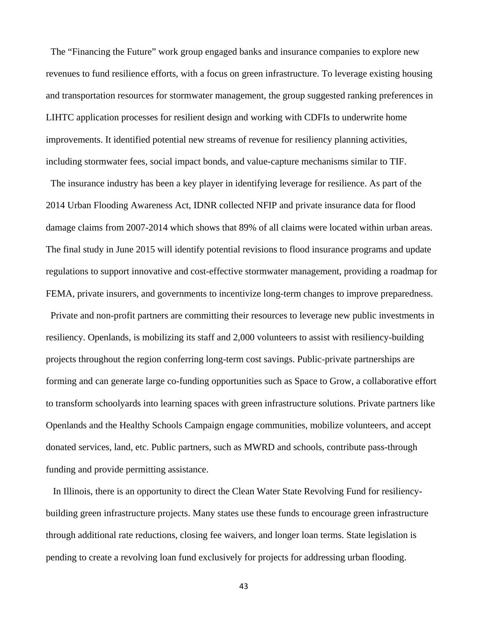The "Financing the Future" work group engaged banks and insurance companies to explore new revenues to fund resilience efforts, with a focus on green infrastructure. To leverage existing housing and transportation resources for stormwater management, the group suggested ranking preferences in LIHTC application processes for resilient design and working with CDFIs to underwrite home improvements. It identified potential new streams of revenue for resiliency planning activities, including stormwater fees, social impact bonds, and value-capture mechanisms similar to TIF.

 The insurance industry has been a key player in identifying leverage for resilience. As part of the 2014 Urban Flooding Awareness Act, IDNR collected NFIP and private insurance data for flood damage claims from 2007-2014 which shows that 89% of all claims were located within urban areas. The final study in June 2015 will identify potential revisions to flood insurance programs and update regulations to support innovative and cost-effective stormwater management, providing a roadmap for FEMA, private insurers, and governments to incentivize long-term changes to improve preparedness. Private and non-profit partners are committing their resources to leverage new public investments in resiliency. Openlands, is mobilizing its staff and 2,000 volunteers to assist with resiliency-building projects throughout the region conferring long-term cost savings. Public-private partnerships are forming and can generate large co-funding opportunities such as Space to Grow, a collaborative effort to transform schoolyards into learning spaces with green infrastructure solutions. Private partners like Openlands and the Healthy Schools Campaign engage communities, mobilize volunteers, and accept donated services, land, etc. Public partners, such as MWRD and schools, contribute pass-through funding and provide permitting assistance.

 In Illinois, there is an opportunity to direct the Clean Water State Revolving Fund for resiliencybuilding green infrastructure projects. Many states use these funds to encourage green infrastructure through additional rate reductions, closing fee waivers, and longer loan terms. State legislation is pending to create a revolving loan fund exclusively for projects for addressing urban flooding.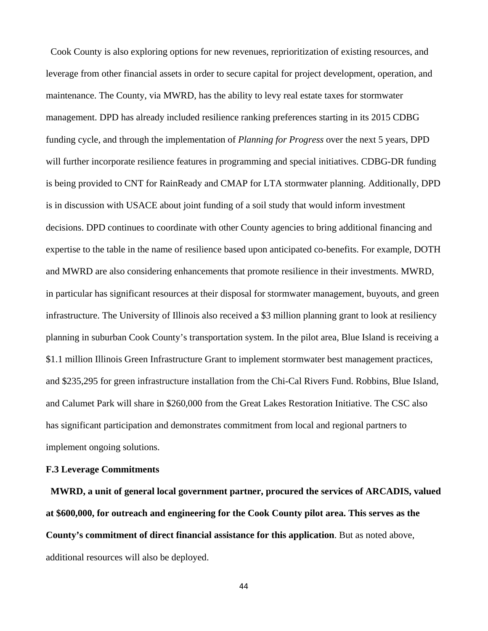Cook County is also exploring options for new revenues, reprioritization of existing resources, and leverage from other financial assets in order to secure capital for project development, operation, and maintenance. The County, via MWRD, has the ability to levy real estate taxes for stormwater management. DPD has already included resilience ranking preferences starting in its 2015 CDBG funding cycle, and through the implementation of *Planning for Progress* over the next 5 years, DPD will further incorporate resilience features in programming and special initiatives. CDBG-DR funding is being provided to CNT for RainReady and CMAP for LTA stormwater planning. Additionally, DPD is in discussion with USACE about joint funding of a soil study that would inform investment decisions. DPD continues to coordinate with other County agencies to bring additional financing and expertise to the table in the name of resilience based upon anticipated co-benefits. For example, DOTH and MWRD are also considering enhancements that promote resilience in their investments. MWRD, in particular has significant resources at their disposal for stormwater management, buyouts, and green infrastructure. The University of Illinois also received a \$3 million planning grant to look at resiliency planning in suburban Cook County's transportation system. In the pilot area, Blue Island is receiving a \$1.1 million Illinois Green Infrastructure Grant to implement stormwater best management practices, and \$235,295 for green infrastructure installation from the Chi-Cal Rivers Fund. Robbins, Blue Island, and Calumet Park will share in \$260,000 from the Great Lakes Restoration Initiative. The CSC also has significant participation and demonstrates commitment from local and regional partners to implement ongoing solutions.

# **F.3 Leverage Commitments**

 **MWRD, a unit of general local government partner, procured the services of ARCADIS, valued at \$600,000, for outreach and engineering for the Cook County pilot area. This serves as the County's commitment of direct financial assistance for this application**. But as noted above, additional resources will also be deployed.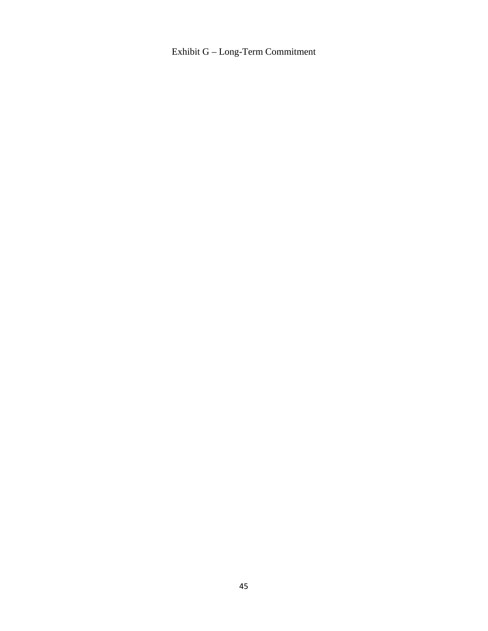Exhibit G – Long-Term Commitment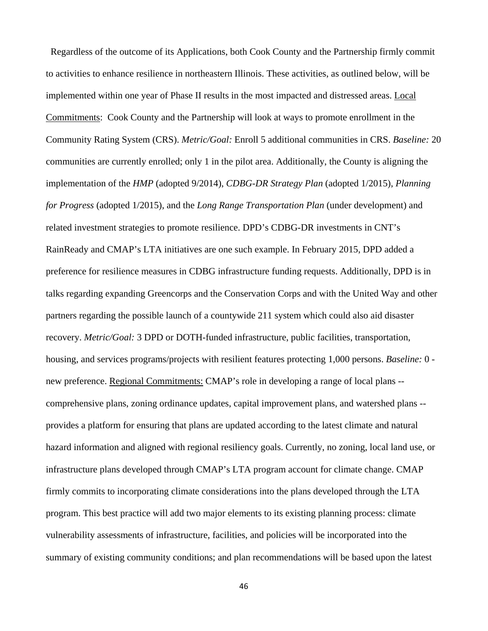Regardless of the outcome of its Applications, both Cook County and the Partnership firmly commit to activities to enhance resilience in northeastern Illinois. These activities, as outlined below, will be implemented within one year of Phase II results in the most impacted and distressed areas. Local Commitments: Cook County and the Partnership will look at ways to promote enrollment in the Community Rating System (CRS). *Metric/Goal:* Enroll 5 additional communities in CRS. *Baseline:* 20 communities are currently enrolled; only 1 in the pilot area. Additionally, the County is aligning the implementation of the *HMP* (adopted 9/2014), *CDBG-DR Strategy Plan* (adopted 1/2015), *Planning for Progress* (adopted 1/2015), and the *Long Range Transportation Plan* (under development) and related investment strategies to promote resilience. DPD's CDBG-DR investments in CNT's RainReady and CMAP's LTA initiatives are one such example. In February 2015, DPD added a preference for resilience measures in CDBG infrastructure funding requests. Additionally, DPD is in talks regarding expanding Greencorps and the Conservation Corps and with the United Way and other partners regarding the possible launch of a countywide 211 system which could also aid disaster recovery. *Metric/Goal:* 3 DPD or DOTH-funded infrastructure, public facilities, transportation, housing, and services programs/projects with resilient features protecting 1,000 persons. *Baseline:* 0 new preference. Regional Commitments: CMAP's role in developing a range of local plans - comprehensive plans, zoning ordinance updates, capital improvement plans, and watershed plans - provides a platform for ensuring that plans are updated according to the latest climate and natural hazard information and aligned with regional resiliency goals. Currently, no zoning, local land use, or infrastructure plans developed through CMAP's LTA program account for climate change. CMAP firmly commits to incorporating climate considerations into the plans developed through the LTA program. This best practice will add two major elements to its existing planning process: climate vulnerability assessments of infrastructure, facilities, and policies will be incorporated into the summary of existing community conditions; and plan recommendations will be based upon the latest